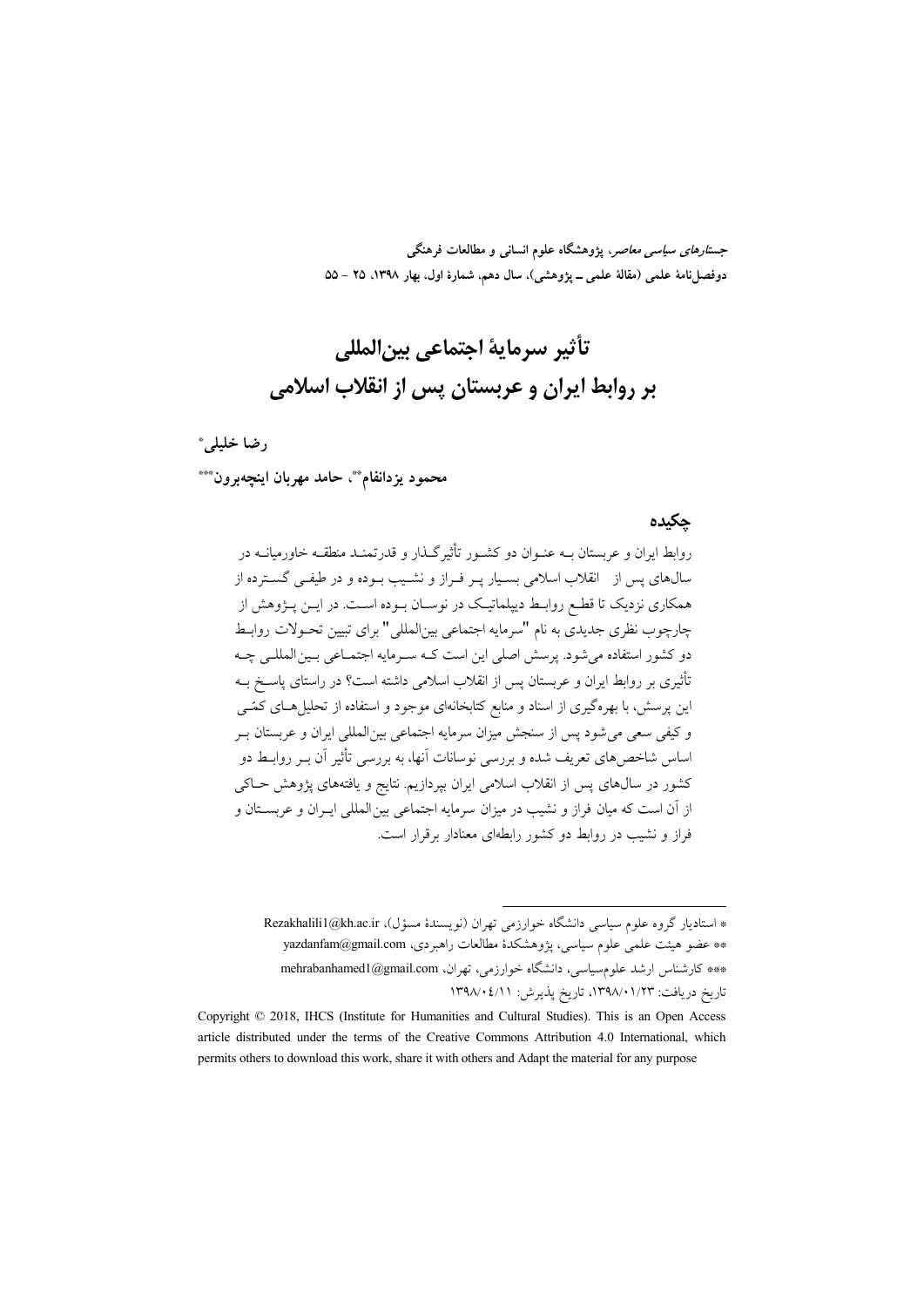جس*تارهای سیاسی معاصر*، یژوهشگاه علوم انسانی و مطالعات فرهنگی دوفصل نامهٔ علمی (مقالهٔ علمی ــ پژوهشی)، سال دهم، شمارهٔ اول، بهار ۱۳۹۸، ۲۵ – ۵۵

# تأثير سرماية احتماعي بين|لمللي بر روابط ایران و عربستان پس از انقلاب اسلامی

#### رضا خليلم.\*

محمود يزدانفام\*\*، حامد مهربان اينچەبرون\*\*\*

#### حكىدە

روابط ایران و عربستان بـه عنـوان دو کشـور تأثیرگـذار و قدرتمنـد منطقـه خاورمیانــه در سالهای پس از انقلاب اسلامی بسیار پـر فـراز و نشـیب بـوده و در طیفـی گســترده از همکاری نزدیک تا قطـع روابـط دیپلماتیـک در نوسـان بـوده اسـت. در ایــن پــژوهش از چارچوب نظری جدیدی به نام "سرمایه اجتماعی بین|لمللی " برای تبیین تحـولات روابـط دو کشور استفاده می شود. پرسش اصلی این است کـه سـرمایه اجتمـاعی بـین المللـی چـه تأثیری بر روابط ایران و عربستان پس از انقلاب اسلامی داشته است؟ در راستای پاسـخ بــه این پرسش، با بهرهگیری از اسناد و منابع کتابخانهای موجود و استفاده از تحلیل هـای کمّـی و کیفی سعی می شود پس از سنجش میزان سرمایه اجتماعی بینالمللی ایران و عربستان بـر اساس شاخص های تعریف شده و بررس<sub>ی</sub> نوسانات آنها، به بررسی تأثیر آن بــر روابــط دو کشور در سال0های پس از انقلاب اسلامی ایران بیردازیم. نتایج و یافتههای پژوهش حـاکی از آن است که میان فراز و نشیب در میزان سرمایه اجتماعی بین المللی ایـران و عربسـتان و فراز و نشیب در روابط دو کشور رابطهای معنادار برقرار است.

<sup>\*</sup> استادیار گروه علوم سیاسی دانشگاه خوارزمی تهران (نویسندهٔ مسؤل)، Rezakhalili1@kh.ac.ir \*\* عضو هيئت علمي علوم سياسي، يژوهشكدهٔ مطالعات راهبردي، yazdanfam@gmail.com \*\*\* كارشناس ارشد علومسياسي، دانشگاه خوارزمي، تهران، mehrabanhamed1@gmail.com تاريخ دريافت: ١٣٩٨/٠١/٢٣، تاريخ يذيرش: ١٣٩٨/٠٤/١١

Copyright © 2018, IHCS (Institute for Humanities and Cultural Studies). This is an Open Access article distributed under the terms of the Creative Commons Attribution 4.0 International, which permits others to download this work, share it with others and Adapt the material for any purpose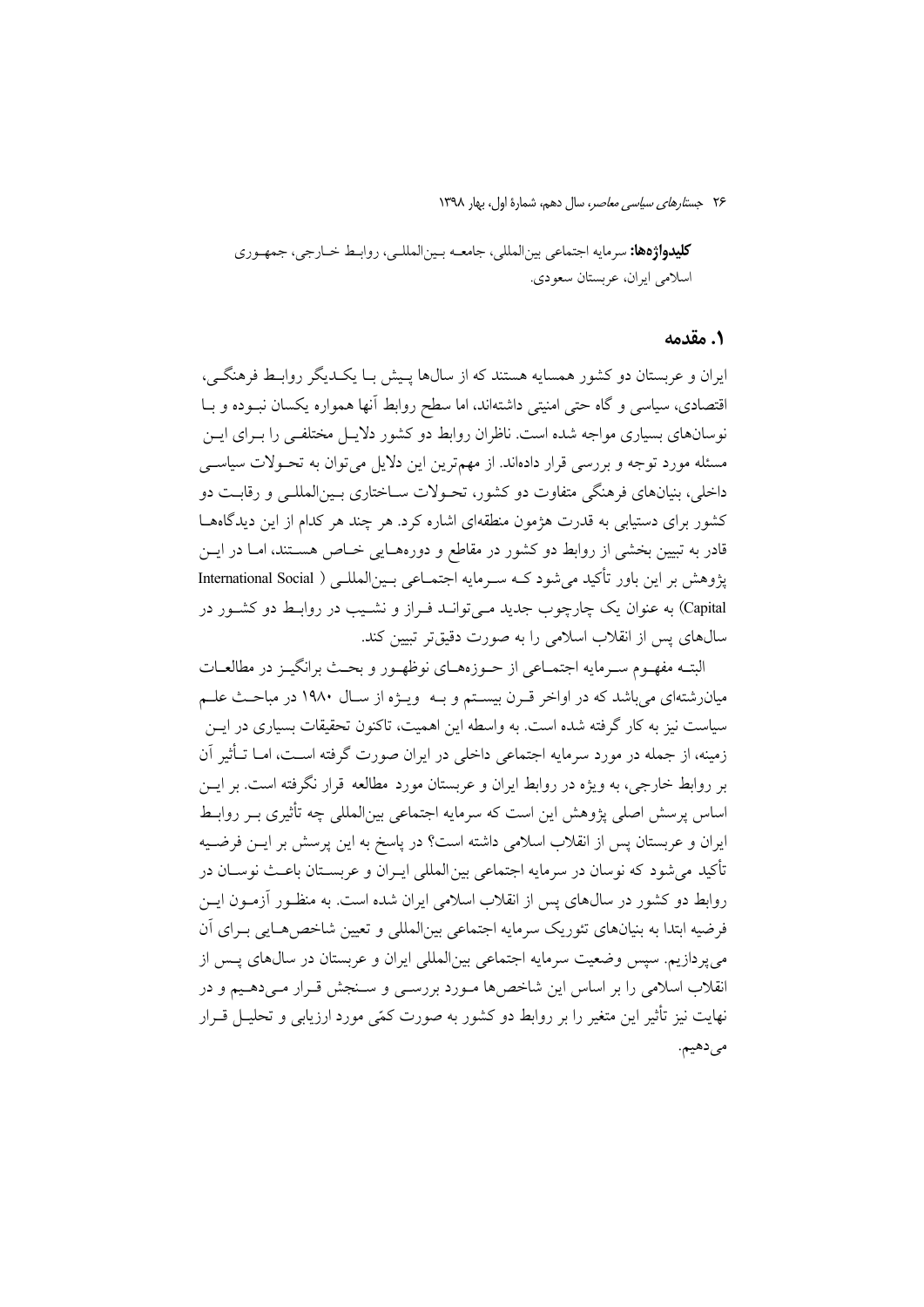**كليدواژهها:** سرمايه اجتماعي بين|لمللي، جامعــه بــين|لمللــي، روابــط خــارجي، جمهـوري اسلامي ايران، عربستان سعودي.

#### ١. مقدمه

ایران و عربستان دو کشور همسایه هستند که از سالها پـیش بـا یکـدیگر روابـط فرهنگـی، اقتصادی، سیاسی و گاه حتی امنیتی داشتهاند، اما سطح روابط آنها همواره یکسان نبـوده و بـا نوسانهای بسیاری مواجه شده است. ناظران روابط دو کشور دلایـل مختلفـی را بـرای ایــن مسئله مورد توجه و بررسی قرار دادهاند. از مهمترین این دلایل می توان به تحـولات سیاســی داخلی، بنیانهای فرهنگی متفاوت دو کشور، تحـولات ســاختاری بــینالمللــی و رقابــت دو کشور برای دستیابی به قدرت هژمون منطقهای اشاره کرد. هر چند هر کدام از این دیدگاههـا قادر به تبیین بخشی از روابط دو کشور در مقاطع و دورههـایی خـاص هســتند، امــا در ایــن پژوهش بر این باور تأکید می شود کــه ســرمایه اجتمــاعی بــینالمللــی ( International Social Capital) به عنوان یک چارچوب جدید مـی توانـد فـراز و نشـیب در روابـط دو کشـور در سالهای پس از انقلاب اسلامی را به صورت دقیقتر تبیین کند.

البتـه مفهـوم سـرمايه اجتمـاعي از حـوزههـاي نوظهـور و بحـث برانگيـز در مطالعـات میان رشتهای می باشد که در اواخر قـرن بیسـتم و بـه ویـژه از سـال ۱۹۸۰ در مباحـث علـم سیاست نیز به کار گرفته شده است. به واسطه این اهمیت، تاکنون تحقیقات بسیاری در ایــن زمینه، از جمله در مورد سرمایه اجتماعی داخلی در ایران صورت گرفته اســت، امــا تــأثیر آن بر روابط خارجی، به ویژه در روابط ایران و عربستان مورد مطالعه قرار نگرفته است. بر ایــن اساس پرسش اصلی پژوهش این است که سرمایه اجتماعی بین|لمللی چه تأثیری بــر روابــط ایران و عربستان پس از انقلاب اسلامی داشته است؟ در پاسخ به این پرسش بر ایــن فرضــیه تأكيد مي شود كه نوسان در سرمايه اجتماعي بين المللي ايـران و عربســتان باعــث نوســان در روابط دو کشور در سال\$های پس از انقلاب اسلامی ایران شده است. به منظـور آزمــون ایــن فرضیه ابتدا به بنیانهای تئوریک سرمایه اجتماعی بین|لمللی و تعیین شاخص هـایی بـرای آن مي يو دازيم. سيس وضعيت سرمايه اجتماعي بين|لمللي ايران و عربستان در سالهاي پــس از انقلاب اسلامی را بر اساس این شاخصها مورد بررسبی و سـنجش قـرار مـیدهـیم و در نهایت نیز تأثیر این متغیر را بر روابط دو کشور به صورت کمّی مورد ارزیابی و تحلیــل قــرار می دهیم.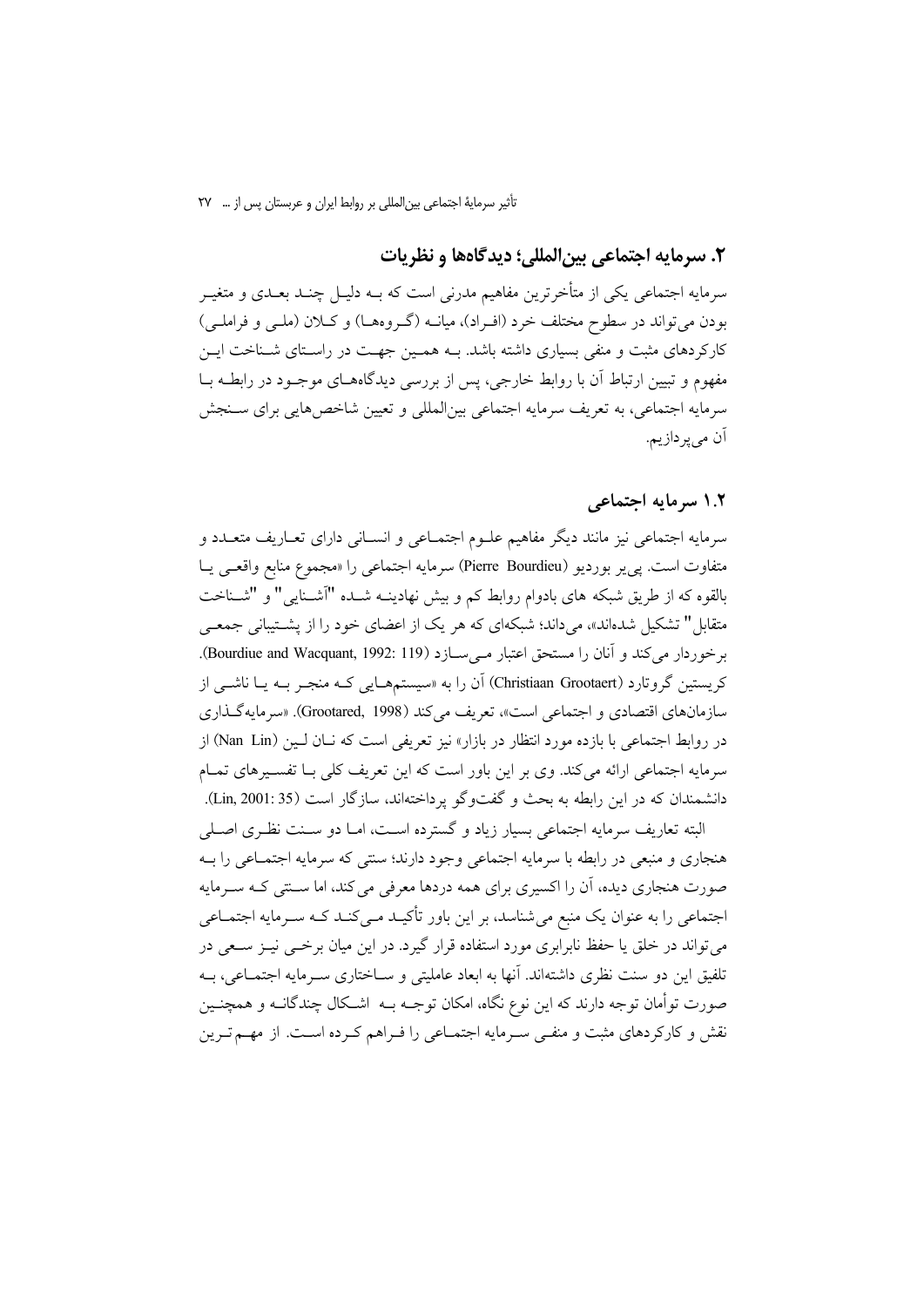### ٢. سرمايه اجتماعي بين|لمللي؛ ديدگاهها و نظريات

سرمایه اجتماعی یکی از متأخرترین مفاهیم مدرنی است که بــه دلیــل چنــد بعــدی و متغیــر بودن میتواند در سطوح مختلف خرد (افـراد)، میانــه (گــروههــا) و کــلان (ملــی و فراملــی) کارکردهای مثبت و منفی بسیاری داشته باشد. بــه همـین جهــت در راسـتای شــناخت ایــن مفهوم و تبیین ارتباط آن با روابط خارجی، پس از بررسی دیدگاههـای موجـود در رابطـه بــا سرمايه اجتماعي، به تعريف سرمايه اجتماعي بين|لمللي و تعيين شاخصهايي براي سـنجش آن مے پر داز ہم۔

# ۱.۲ سرمایه اجتماعی

سرمايه اجتماعي نيز مانند ديگر مفاهيم علــوم اجتمــاعي و انســاني داراي تعــاريف متعــدد و متفاوت است. يي پر بورديو (Pierre Bourdieu) سرمايه اجتماعي را «مجموع منابع واقعـي يــا بالقوه که از طریق شبکه های بادوام روابط کم و بیش نهادینــه شــده "آشــنایی" و "شــناخت متقابل" تشکیل شدهاند»، میداند؛ شبکهای که هر یک از اعضای خود را از پشــتیبانی جمعــی برخوردار می کند و آنان را مستحق اعتبار مے سازد (Bourdiue and Wacquant, 1992: 119). کریستین گروتارد (Christiaan Grootaert) آن را به «سیستمهمـایی کـه منجـر بــه یــا ناشــی از سازمانهای اقتصادی و اجتماعی است»، تعریف میکند (Grootared, 1998). «سرمایهگذاری در روابط اجتماعی با بازده مورد انتظار در بازار» نیز تعریفی است که نــان لــین (Nan Lin) از سرمایه اجتماعی ارائه میکند. وی بر این باور است که این تعریف کلی بـا تفسـیرهای تمـام دانشمندان كه در اين رابطه به بحث و گفتوگو يرداختهاند، سازگار است (Lin, 2001: 35).

البته تعاریف سرمایه اجتماعی بسیار زیاد و گسترده است، امـا دو سـنت نظـری اصـلی هنجاري و منبعي در رابطه با سرمايه اجتماعي وجود دارند؛ سنتي كه سرمايه اجتمــاعي را بــه صورت هنجاری دیده، اَن را اکسیری برای همه دردها معرفی می کند، اما سـنتی کـه سـرمایه اجتماعی را به عنوان یک منبع می شناسد، بر این باور تأکیـد مـیکنـد کـه سـرمایه اجتمـاعی می تواند در خلق یا حفظ نابرابری مورد استفاده قرار گیرد. در این میان برخــی نیــز ســعی در تلفيق اين دو سنت نظري داشتهاند. آنها به ابعاد عامليتي و ســاختاري ســرمايه اجتمــاعي، بــه صورت توأمان توجه دارند که این نوع نگاه، امکان توجــه بــه اشــکال چندگانــه و همچنــین نقش و کارکردهای مثبت و منفـّـی سـرمایه اجتمــاعی را فـراهـم کـرده اســت. از مهــم تــرین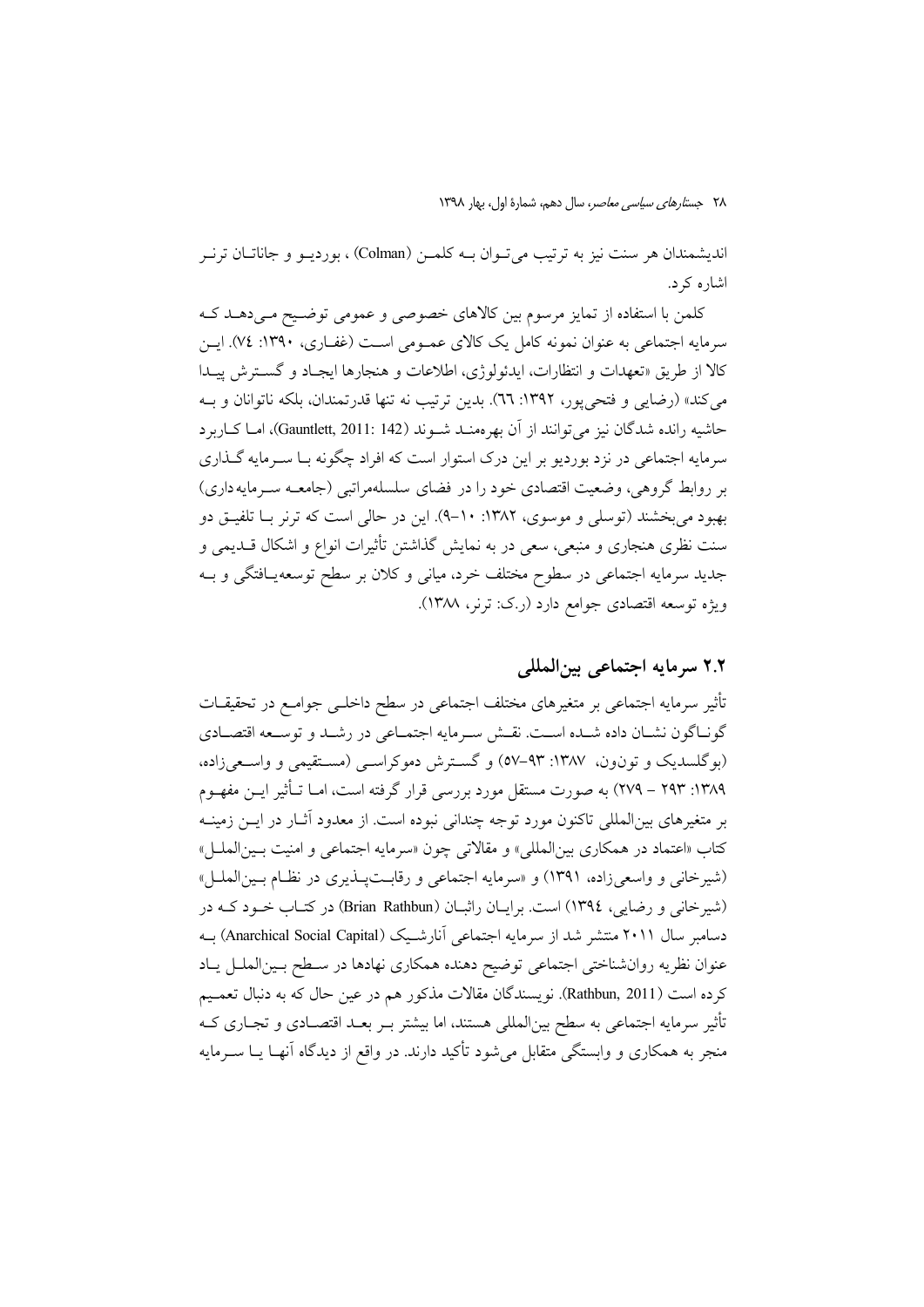اندیشمندان هر سنت نیز به ترتیب می تـوان بــه کلمــن (Colman) ، بوردیــو و جاناتــان ترنــر اشاره که د.

کلمن با استفاده از تمایز مرسوم بین کالاهای خصوصی و عمومی توضیح مـی دهـد کـه سرمايه اجتماعي به عنوان نمونه كامل يک کالاي عمــومي اســت (غفــاري، ١٣٩٠: ٧٤). ايــن کالا از طریق «تعهدات و انتظارات، ایدئولوژی، اطلاعات و هنجارها ایجـاد و گســترش پیــدا می کند» (رضایی و فتحی پور، ۱۳۹۲: ٦٦). بدین ترتیب نه تنها قدرتمندان، بلکه ناتوانان و بـه حاشيه رانده شدگان نيز مي توانند از آن بهرهمنـد شـوند (Gauntlett, 2011: 142)، امـا كـاربرد سرمایه اجتماعی در نزد بوردیو بر این درک استوار است که افراد چگونه بـا سـرمایه گـذاری بر روابط گروهی، وضعیت اقتصادی خود را در فضای سلسلهمراتبی (جامعـه سـرمایه داری) بهبود مي بخشند (توسلي و موسوى، ١٣٨٢: ١٠-٩). اين در حالي است كه ترنر بـا تلفيــق دو سنت نظری هنجاری و منبعی، سعی در به نمایش گذاشتن تأثیرات انواع و اشکال قــدیمی و جدید سرمایه اجتماعی در سطوح مختلف خرد، میانی و کلان بر سطح توسعه یافتگی و بـه ويژه توسعه اقتصادي جوامع دارد (ر.ک: ترنر، ١٣٨٨).

# ٢.٢ سرمايه اجتماعي بينالمللي

تأثیر سرمایه اجتماعی بر متغیرهای مختلف اجتماعی در سطح داخلــی جوامــع در تحقیقــات گونـاگون نشـان داده شـده اسـت. نقـش سـرمايه اجتمـاعي در رشـد و توسـعه اقتصـادي (بوگلسدیک و تونون، ۱۳۸۷: ۹۳–۵۷) و گسترش دموکراسبی (مستقیمی و واسعی زاده، ۱۳۸۹: ۲۹۳ – ۲۷۹) به صورت مستقل مورد بررسی قرار گرفته است، امــا تــأثير ايــن مفهــوم بر متغیرهای بینالمللی تاکنون مورد توجه چندانی نبوده است. از معدود آثــار در ایــن زمینــه كتاب «اعتماد در همكاري بينالمللي» و مقالاتي چون «سرمايه اجتماعي و امنيت بـينالملـل» (شیرخانی و واسعیزاده، ۱۳۹۱) و «سرمایه اجتماعی و رقابتپذیری در نظام بین الملل» (شیرخانی و رضایی، ١٣٩٤) است. برایـان راثبـان (Brian Rathbun) در کتـاب خـود کـه در دسامبر سال ۲۰۱۱ منتشر شد از سرمایه اجتماعی آنارشیک (Anarchical Social Capital) به عنوان نظريه روانشناختي اجتماعي توضيح دهنده همكاري نهادها در سطح بين الملل ياد كرده است (Rathbun, 2011). نويسندگان مقالات مذكور هم در عين حال كه به دنبال تعمـيم تأثیر سرمایه اجتماعی به سطح بین|لمللی هستند، اما بیشتر بـر بعـد اقتصـادی و تجـاری کـه منجر به همکاری و وابستگی متقابل میشود تأکید دارند. در واقع از دیدگاه آنهـا یــا ســرمایه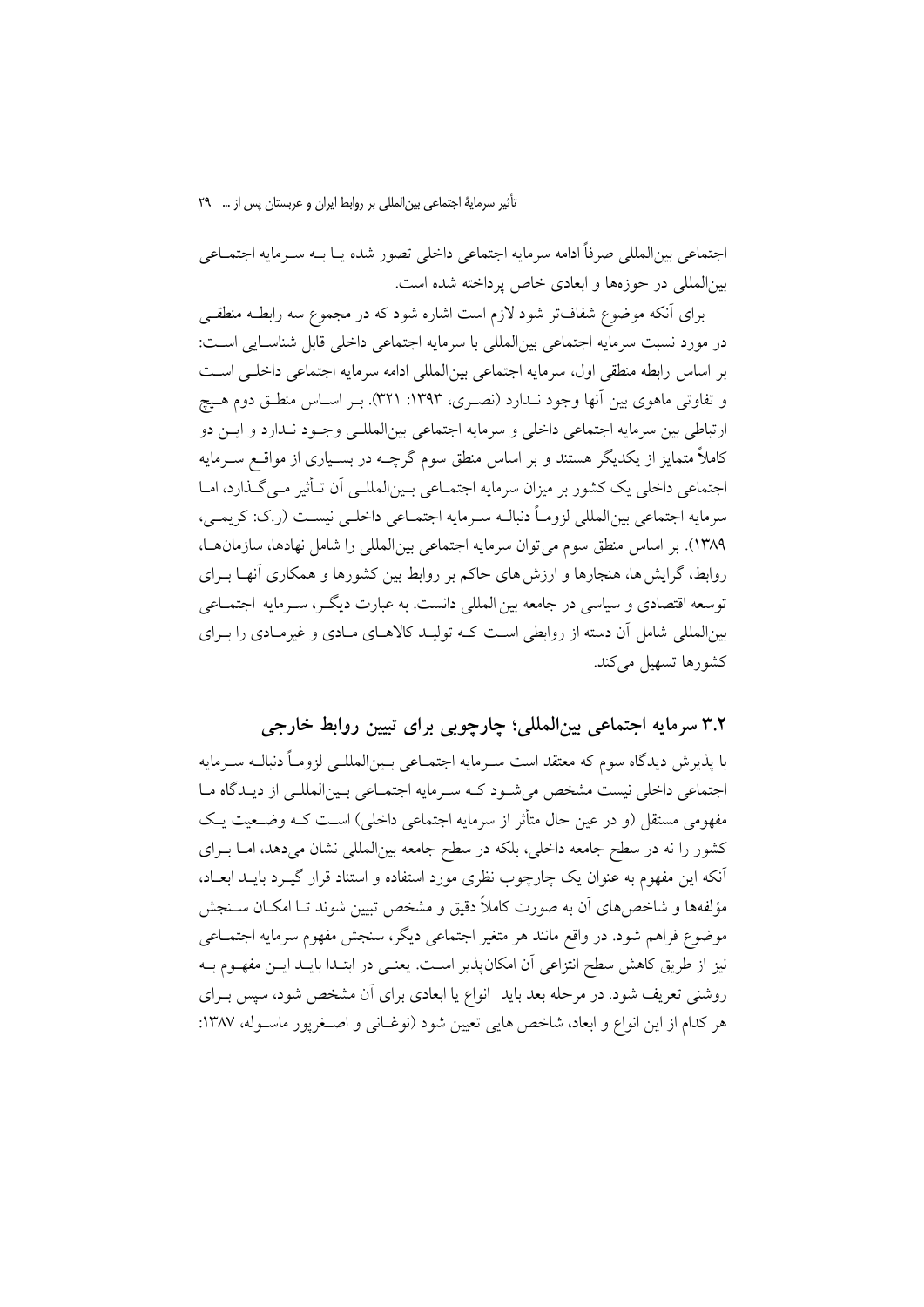تأثیر سرمایهٔ اجتماعی بین المللی بر روابط ایران و عربستان پس از … ۲۹

اجتماعي بين|لمللي صرفاً ادامه سرمايه اجتماعي داخلي تصور شده يـا بــه سـرمايه اجتمــاعي بینالمللی در حوزهها و ابعادی خاص پرداخته شده است.

برای آنکه موضوع شفافتر شود لازم است اشاره شود که در مجموع سه رابطـه منطقـی در مورد نسبت سرمايه اجتماعي بين|لمللي با سرمايه اجتماعي داخلي قابل شناسـايي اسـت: بر اساس رابطه منطقی اول، سرمایه اجتماعی بینالمللی ادامه سرمایه اجتماعی داخلـی اسـت و تفاوتی ماهوی بین آنها وجود نـدارد (نصـری، ۱۳۹۳: ۳۲۱). بـر اسـاس منطـق دوم هـیچ ارتباطي بين سرمايه اجتماعي داخلي و سرمايه اجتماعي بين|لمللـي وجـود نـدارد و ايــن دو کاملاً متمایز از یکدیگر هستند و بر اساس منطق سوم گرچــه در بســیاری از مواقــع ســرمایه اجتماعی داخلی یک کشور بر میزان سرمایه اجتمـاعی بـین|لمللـی آن تـأثیر مـی گـذارد، امـا سرمايه اجتماعي بين|لمللي لزومـاً دنبالـه سـرمايه اجتمــاعي داخلــي نيســت (ر.ک: کريمــي، ١٣٨٩). بر اساس منطق سوم مي توان سرمايه اجتماعي بين المللي را شامل نهادها، سازمان هـا، روابط، گرایش ها، هنجارها و ارزش های حاکم بر روابط بین کشورها و همکاری آنهـا بــرای توسعه اقتصادی و سیاسی در جامعه بین المللی دانست. به عبارت دیگـر، سـرمایه اجتمــاعی بینالمللی شامل آن دسته از روابطی است کـه تولیـد کالاهـای مـادی و غیرمـادی را بـرای كشورها تسهيل ميكند.

# ۳.۲ سرمایه اجتماعی بینالمللی؛ چارچوبی برای تبیین روابط خارجی

یا پذیرش دیدگاه سوم که معتقد است سے مایه اجتمــاعی پـین(لمللـے لزومــاً دنیالــه ســرمایه اجتماعی داخلی نیست مشخص می شـود کـه سـرمایه اجتمـاعی بـین|لمللـی از دیـدگاه مـا مفهومي مستقل (و در عين حال متأثر از سرمايه اجتماعي داخلي) است كـه وضـعيت يـك کشور را نه در سطح جامعه داخلی، بلکه در سطح جامعه بین|لمللی نشان می دهد، امــا بــرای آنکه این مفهوم به عنوان یک چارچوب نظری مورد استفاده و استناد قرار گیـرد بایــد ابعــاد، مؤلفهها و شاخص های آن به صورت کاملاً دقیق و مشخص تبیین شوند تــا امکــان ســنجش موضوع فراهم شود. در واقع مانند هر متغیر اجتماعی دیگر، سنجش مفهوم سرمایه اجتمــاعی نیز از طریق کاهش سطح انتزاعی آن امکان پذیر اسـت. یعنـی در ابتـدا بایـد ایــن مفهــوم بــه روشنی تعریف شود. در مرحله بعد باید انواع یا ابعادی برای آن مشخص شود، سپس بـرای هر كدام از اين انواع و ابعاد، شاخص هايي تعيين شود (نوغـاني و اصـغريور ماسـوله، ١٣٨٧: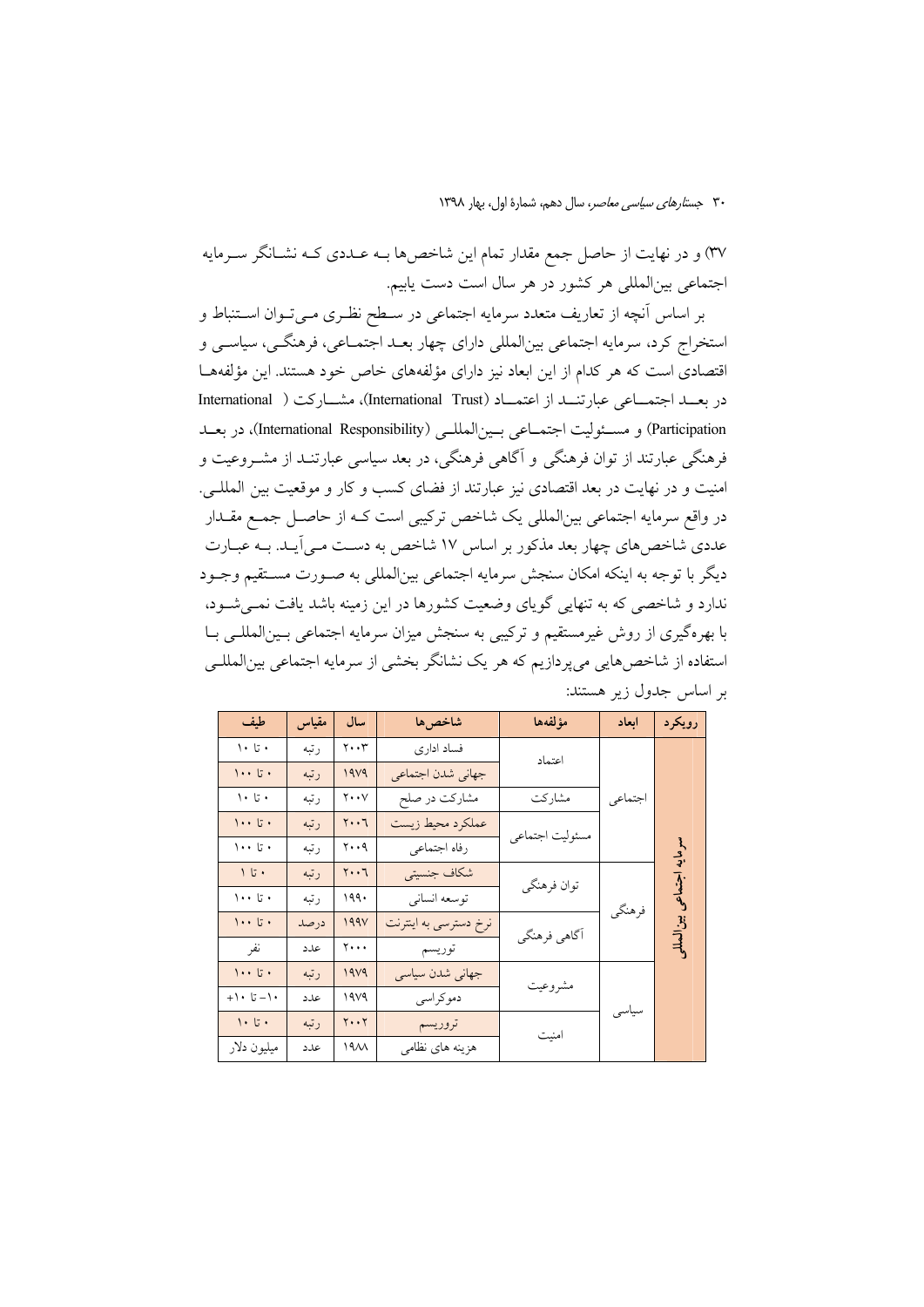۳۷) و در نهایت از حاصل جمع مقدار تمام این شاخصها بــه عــددی کــه نشــانگر ســرمایه اجتماعی بینالمللی هر کشور در هر سال است دست یابیم.

بر اساس آنچه از تعاریف متعدد سرمایه اجتماعی در سـطح نظـری مـیتوان اسـتنباط و استخراج كرد، سرمايه اجتماعي بينالمللي داراي چهار بعـد اجتمـاعي، فرهنگـي، سياسـي و اقتصادی است که هر کدام از این ابعاد نیز دارای مؤلفههای خاص خود هستند. این مؤلفههـا در بعبد اجتمـاعی عبارتنبد از اعتمـاد (International Trust)، مشــارکت ( International Participation) و مسئوليت اجتمـاعي بـين|لمللـي (International Responsibility)، در بعــد فرهنگی عبارتند از توان فرهنگی و آگاهی فرهنگی، در بعد سیاسی عبارتنـد از مشــروعیت و امنیت و در نهایت در بعد اقتصادی نیز عبارتند از فضای کسب و کار و موقعیت بین المللـی. در واقع سرمايه اجتماعي بين|لمللي يک شاخص ترکيبي است کـه از حاصــل جمــع مقــدار عددی شاخصهای چهار بعد مذکور بر اساس ۱۷ شاخص به دست مـی]یـد. بـه عبـارت ديگر با توجه به اينكه امكان سنجش سرمايه اجتماعي بينالمللي به صـورت مسـتقيم وجـود ندارد و شاخصی که به تنهایی گویای وضعیت کشورها در این زمینه باشد یافت نمـیشـود، با بهرهگیری از روش غیرمستقیم و ترکیبی به سنجش میزان سرمایه اجتماعی بـینالمللـی بـا استفاده از شاخصهایی میپردازیم که هر یک نشانگر بخشی از سرمایه اجتماعی بینالمللـی بر اساس جدول زیر هستند:

| طيف                                         | مقياس | سال                                 | شاخصها                | مؤلفهها         | ابعاد   | رويكرد                       |
|---------------------------------------------|-------|-------------------------------------|-----------------------|-----------------|---------|------------------------------|
| $\cdot$ 5.                                  | رتبه  | $\mathbf{y} \cdot \mathbf{y}$       | فساد ادارى            | اعتماد          |         |                              |
| $\cdots$ 5.                                 | رتبه  | 19V9                                | جهاني شدن اجتماعي     |                 |         |                              |
| $\backslash\bullet\downarrow\bullet\bullet$ | رتبه  | $\mathbf{y} \cdot \mathbf{y}$       | مشارکت در صلح         | مشاركت          | اجتماعي |                              |
| $\cdots$ 5.                                 | رتبه  | $\mathbf{y} \cdot \cdot \mathbf{y}$ | عملكرد محيط زيست      |                 |         | سرمايه اجتماعي<br>بين المللو |
| $\cdots$ 5.                                 | رتبه  | $y \cdot \cdot q$                   | رفاه اجتماعى          | مسئوليت اجتماعي |         |                              |
|                                             | رتبه  | $y \cdot \cdot 7$                   | شكاف جنسيتي           | توان فرهنگي     | فرهنگي  |                              |
| $\cdots$ 5.                                 | رتبه  | 199.                                | توسعه انساني          |                 |         |                              |
| $\cdots$ 5.                                 | درصد  | 199V                                | نرخ دسترسي به اينترنت | آگاهي فرهنگي    |         |                              |
| نفر                                         | عدد   | $\mathbf{y} \cdot \cdot \cdot$      | توريسم                |                 |         |                              |
| $\cdots$ 5.                                 | رتبه  | 19V9                                | جهانی شدن سیاسی       |                 | سياسى   |                              |
| $+1 - 71$ .                                 | عدد   | 19V9                                | دموكراسي              | مشروعيت         |         |                              |
| $\bar{\mathcal{V}}\cdot\mathcal{L}$ .       | رتبه  | $Y \cdot Y$                         | تروريسم               | امنیت           |         |                              |
| ميليون دلار                                 | علدد  | 19 <sub>AA</sub>                    | هزينه هاي نظامي       |                 |         |                              |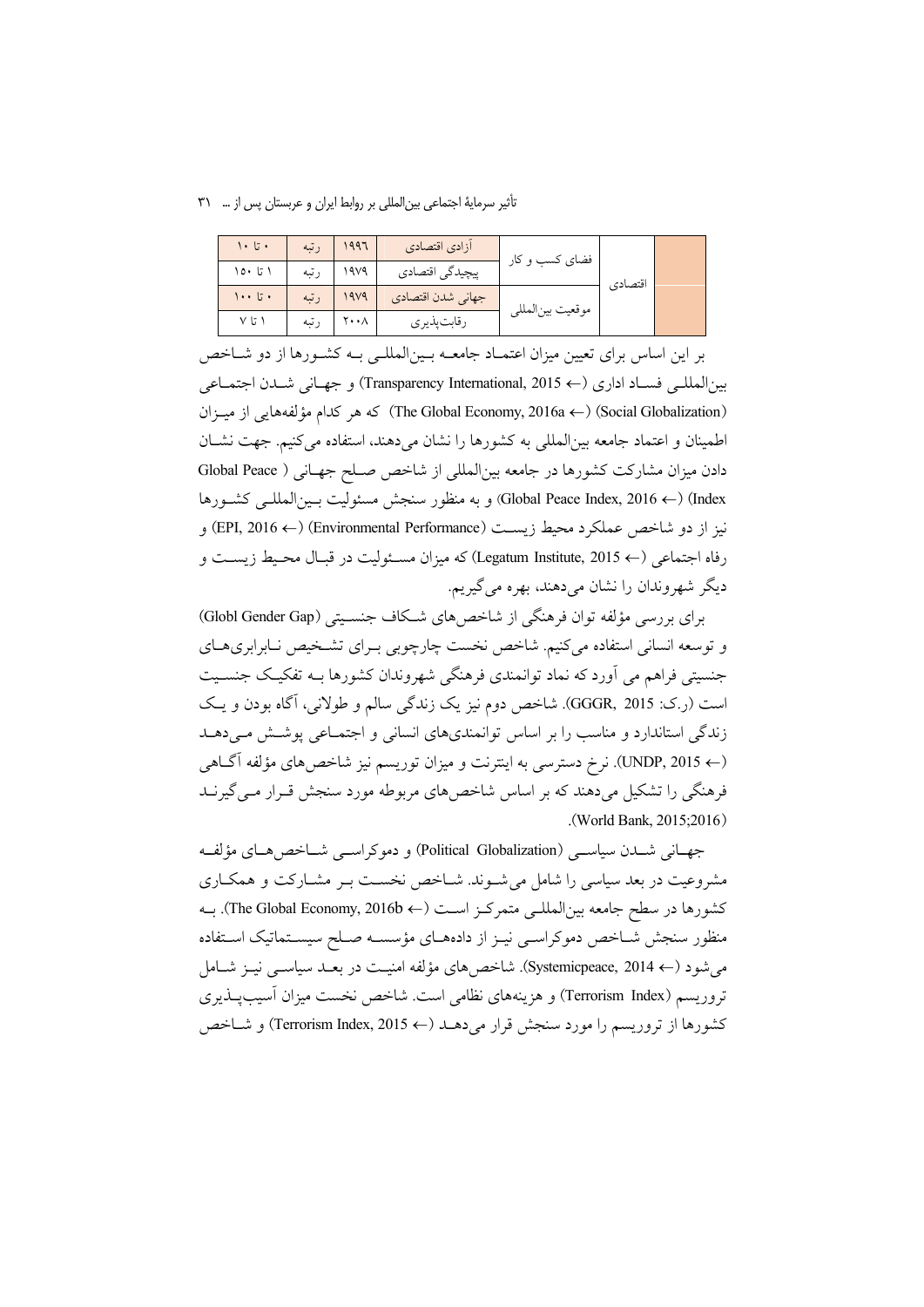تأثیر سرمایهٔ اجتماعی بین المللی بر روابط ایران و عربستان پس از … ۳۱

| $\cdot$ تا ۱۰ | رتبه | 1997 | أزادي اقتصادي     | فضای کسب و کار   | اقتصادي |  |
|---------------|------|------|-------------------|------------------|---------|--|
| ۱ تا ۱۵۰      | رتبه | ۱۹۷۹ | پیچیدگی اقتصادی   |                  |         |  |
| ۱۰۰ تا ۱۰۰    | رتبه | 1979 | جهاني شدن اقتصادي | موقعيت بينالمللي |         |  |
| ۱ تا ۷        | رتبه | ۲۰۰∧ | رقابت پذيري       |                  |         |  |

بر این اساس برای تعیین میزان اعتمـاد جامعــه بــین|لمللــی بــه کشــورها از دو شــاخص بين المللي فسـاد اداري (← Transparency International, 2015) و جهـاني شـدن اجتمـاعي (Social Globalization) كه هر كدام مؤلفههايي از ميـزان) (The Global Economy, 2016a ←) اطمینان و اعتماد جامعه بینالمللی به کشورها را نشان میدهند، استفاده می کنیم. جهت نشـان دادن میزان مشارکت کشورها در جامعه بینالمللی از شاخص صـلح جهـانی ( Global Peace Index) (← Global Peace Index, 2016) و به منظور سنجش مسئوليت بـينالمللـي كشـورها نیز از دو شاخص عملکرد محیط زیست (Environmental Performance) (← EPI, 2016) و رفاه اجتماعي (← Legatum Institute, 2015) كه ميزان مسـئوليت در قبـال محـيط زيســت و دیگر شهروندان را نشان میدهند، بهره می گیریم.

برای بررسی مؤلفه توان فرهنگی از شاخص های شکاف جنسـیتی (Globl Gender Gap) و توسعه انسانی استفاده میکنیم. شاخص نخست چارچوبی بـرای تشـخیص نـابرابریهـای جنسیتی فراهم می آورد که نماد توانمندی فرهنگی شهروندان کشورها بـه تفکیـک جنسـیت است (ر.ک: GGGR, 2015). شاخص دوم نيز يک زندگي سالم و طولاني، آگاه بودن و يک زندگی استاندارد و مناسب را بر اساس توانمندیهای انسانی و اجتمـاعی پوشـش مـیدهـد (← UNDP, 2015). نرخ دسترسی به اینترنت و میزان توریسم نیز شاخص۵های مؤلفه آگـاهی فرهنگی را تشکیل میدهند که بر اساس شاخصهای مربوطه مورد سنجش قـرار مـی گیرنــد (World Bank, 2015;2016).

جهـاني شــدن سياســي (Political Globalization) و دموكراســي شــاخص۵هـاي مؤلفــه مشروعیت در بعد سیاسی را شامل می شـوند. شـاخص نخسـت بـر مشــارکت و همکــاری كشورها در سطح جامعه بين|لمللـي متمركـز اسـت (← The Global Economy, 2016b). بــه منظور سنجش شـاخص دموكراسـي نيـز از دادههـاي مؤسسـه صـلح سيسـتماتيك اسـتفاده می شود (← Systemicpeace, 2014). شاخص های مؤلفه امنیـت در بعـد سیاســی نیــز شــامل تروريسم (Terrorism Index) و هزينههاي نظامي است. شاخص نخست ميزان أسيبيــذيري كشورها از تروريسم را مورد سنجش قرار مىدهـد (← Terrorism Index, 2015) و شـاخص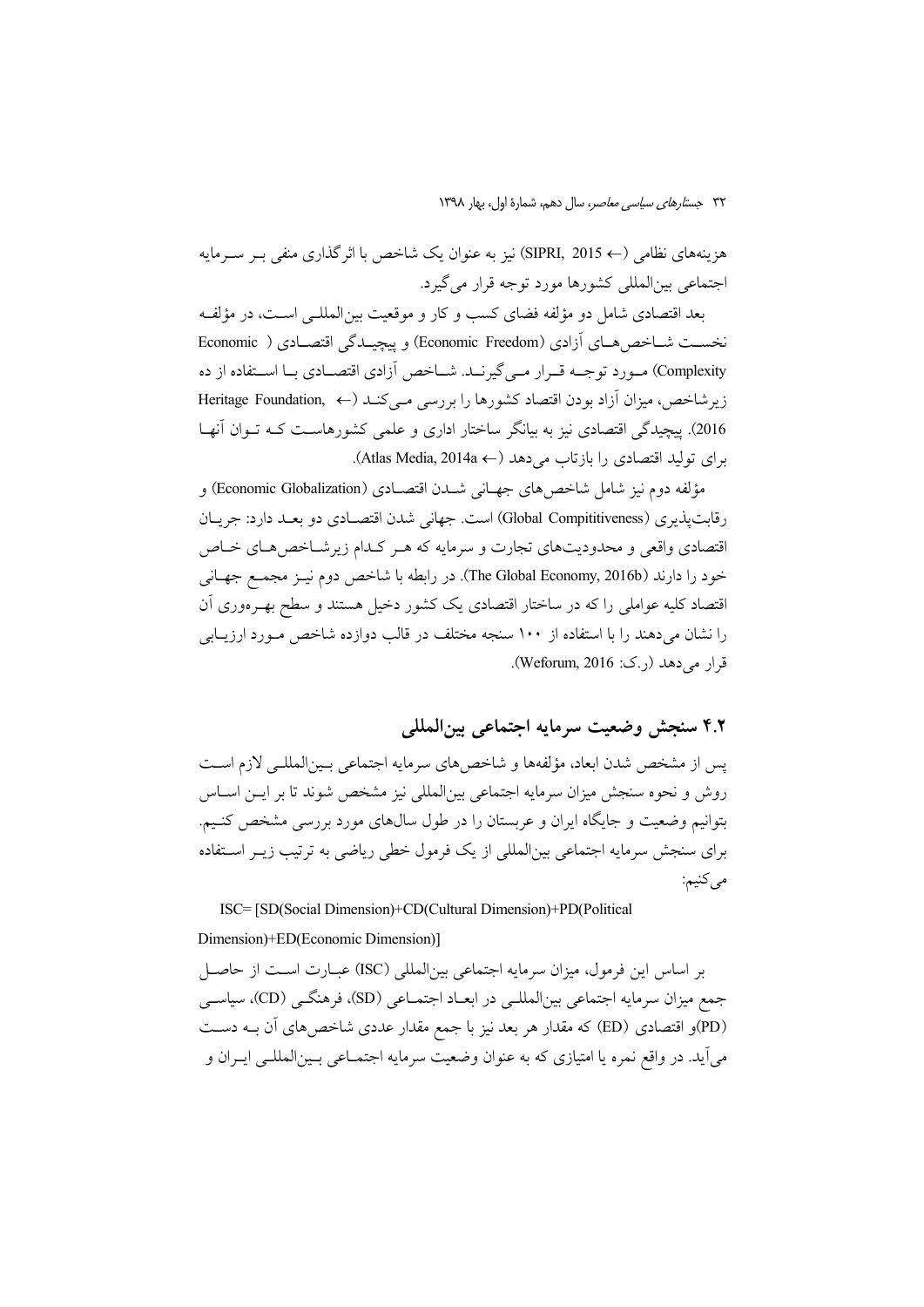هزينههاي نظامي (← SIPRI, 2015) نيز به عنوان يک شاخص با اثر گذاري منفي بـر ســرمايه اجتماعي بين(لمللي كشورها مورد توجه قرار مي گيرد.

بعد اقتصادي شامل دو مؤلفه فضاي كسب و كار و موقعيت بين المللـي اسـت، در مؤلفـه نخست شباخص هبای آزادی (Economic Freedom) و پیچیپدگی اقتصبادی ( Economic Complexity) مــورد توجــه قــرار مــي گيرنــد. شــاخص آزادي اقتصــادي بــا اســتفاده از ده زیر شاخص، میزان آزاد بودن اقتصاد کشورها را بررسی مے کنـد (← Feritage Foundation 2016). ييچيدگي اقتصادي نيز به بيانگر ساختار اداري و علمي كشورهاست كـه تـوان آنهـا برای تولید اقتصادی را بازتاب می دهد (← Atlas Media, 2014a).

مؤلفه دوم نيز شامل شاخص هاي جهـاني شــدن اقتصــادي (Economic Globalization) و رقابت پذیری (Global Compititiveness) است. جهانی شدن اقتصـادی دو بعـد دارد: جريـان اقتصادی واقعی و محدودیتهای تجارت و سرمایه که هـر کـدام زیرشـاخص۵حـای خـاص خود را دارند (The Global Economy, 2016b). در رابطه با شاخص دوم نيـز مجمـع جهـاني اقتصاد کلیه عواملی را که در ساختار اقتصادی یک کشور دخیل هستند و سطح بهـرهوری اَن را نشان میدهند را با استفاده از ۱۰۰ سنجه مختلف در قالب دوازده شاخص مورد ارزیبابی قرار می دهد (ر.ک: Weforum, 2016).

# ۴.۲ سنجش وضعيت سرمايه اجتماعي بين المللي

يس از مشخص شدن ابعاد، مؤلفهها و شاخص هاي سرمايه اجتماعي بـينالمللـي لازم اسـت روش و نحوه سنجش میزان سرمایه اجتماعی بین|لمللی نیز مشخص شوند تا بر ایــن اســاس بتوانیم وضعیت و جایگاه ایران و عربستان را در طول سالهای مورد بررسی مشخص کنـیم. برای سنجش سرمایه اجتماعی بین|لمللی از یک فرمول خطی ریاضی به ترتیب زیــر اســتفاده مىكنيم:

ISC= [SD(Social Dimension)+CD(Cultural Dimension)+PD(Political

#### Dimension)+ED(Economic Dimension)]

بر اساس این فرمول، میزان سرمایه اجتماعی بین(لمللی (ISC) عبـارت اسـت از حاصـل جمع میزان سرمایه اجتماعی بین|لمللـی در ابعـاد اجتمـاعی (SD)، فرهنگـی (CD)، سیاسـی (PD)و اقتصادی (ED) که مقدار هر بعد نیز با جمع مقدار عددی شاخص های آن بـه دسـت مي آيد. در واقع نمره يا امتيازي كه به عنوان وضعيت سرمايه اجتمــاعي بــينالمللــي ايــران و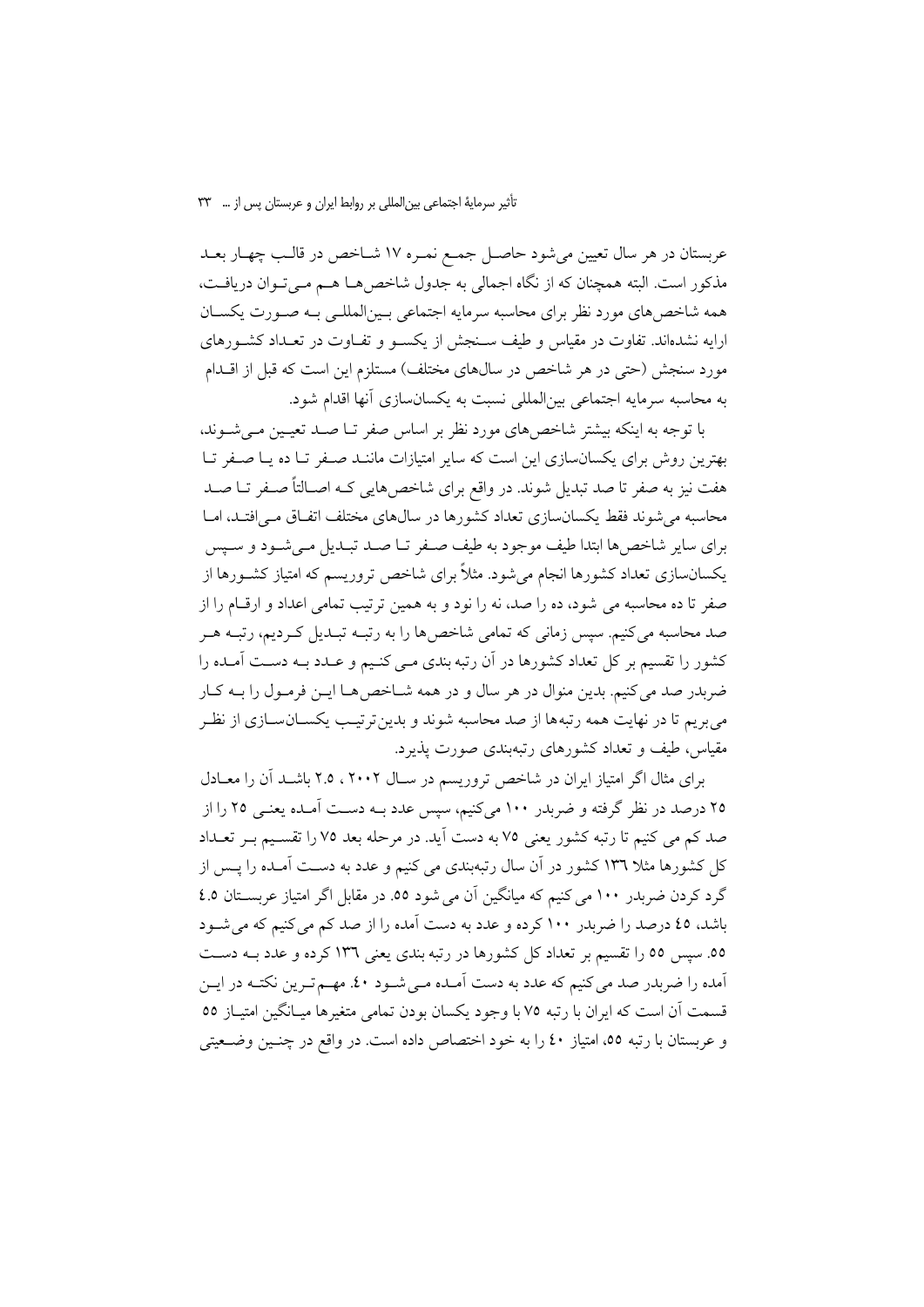عربستان در هر سال تعیین میشود حاصـل جمـع نمـره ۱۷ شـاخص در قالـب چهـار بعـد مذکور است. البته همچنان که از نگاه اجمالی به جدول شاخص هـا هـم مـی تـوان دریافـت، همه شاخصهای مورد نظر برای محاسبه سرمایه اجتماعی بمینالمللمی بـه صـورت یکسـان ارایه نشدهاند. تفاوت در مقیاس و طیف سـنجش از یکسـو و تفـاوت در تعـداد کشـورهای مورد سنجش (حتی در هر شاخص در سالهای مختلف) مستلزم این است که قبل از اقــدام به محاسبه سرمايه اجتماعي بين|لمللي نسبت به يكسانسازي آنها اقدام شود.

با توجه به اینکه بیشتر شاخصهای مورد نظر بر اساس صفر تــا صــد تعیــین مــی شــوند. بهترین روش برای یکسانسازی این است که سایر امتیازات ماننـد صـفر تـا ده یـا صـفر تـا هفت نیز به صفر تا صد تبدیل شوند. در واقع برای شاخصهایی کـه اصـالتاً صـفر تـا صـد محاسبه می شوند فقط یکسانسازی تعداد کشورها در سالهای مختلف اتفـاق مـی|فتـد، امـا برای سایر شاخصها ابتدا طیف موجود به طیف صـفر تـا صـد تبـدیل مـی شـود و سـیس یکسانسازی تعداد کشورها انجام میشود. مثلاً برای شاخص تروریسم که امتیاز کشــورها از صفر تا ده محاسبه می شود، ده را صد، نه را نود و به همین ترتیب تمامی اعداد و ارقام را از صد محاسبه میکنیم. سپس زمانی که تمامی شاخصها را به رتبـه تبـدیل کـردیم، رتبـه هـر کشور را تقسیم بر کل تعداد کشورها در آن رتبه بندی مـی کنـیم و عـدد بـه دسـت آمـده را ضربدر صد می کنیم. بدین منوال در هر سال و در همه شـاخص هـا ایــن فرمـول را بــه کـار می بریم تا در نهایت همه رتبهها از صد محاسبه شوند و بدین ترتیب یکســانســازی از نظـر مقیاس، طیف و تعداد کشورهای رتبهبندی صورت پذیرد.

برای مثال اگر امتیاز ایران در شاخص تروریسم در سال ۲۰۰۲ ، ۲.۵ باشد آن را معادل ۲۵ درصد در نظر گرفته و ضربدر ۱۰۰ میکنیم، سپس عدد بــه دســت آمــده یعنــی ۲۵ را از صد کم می کنیم تا رتبه کشور یعنی ۷۵ به دست آید. در مرحله بعد ۷۵ را تقسیم بـر تعـداد کل کشورها مثلا ۱۳۳ کشور در آن سال رتبهبندی می کنیم و عدد به دسـت آمـده را پــس از گرد کردن ضربدر ۱۰۰ می کنیم که میانگین آن می شود ٥٥. در مقابل اگر امتیاز عربسـتان ٤.٥ باشد، ٤٥ درصد را ضربدر ١٠٠ كرده و عدد به دست آمده را از صد كم مى كنيم كه مى شــود ٥٥. سپس ٥٥ را تقسیم بر تعداد کل کشورها در رتبه بندی یعنی ١٣٦ کرده و عدد بـه دسـت آمده را ضربدر صد می کنیم که عدد به دست آمـده مـی شـود ٤٠. مهــم تـرین نکتــه در ایــن قسمت آن است که ایران با رتبه ۷۵ با وجود یکسان بودن تمامی متغیرها میـانگین امتیـاز ٥٥ و عربستان با رتبه ٥٥، امتياز ٤٠ را به خود اختصاص داده است. در واقع در چنـين وضـعيتي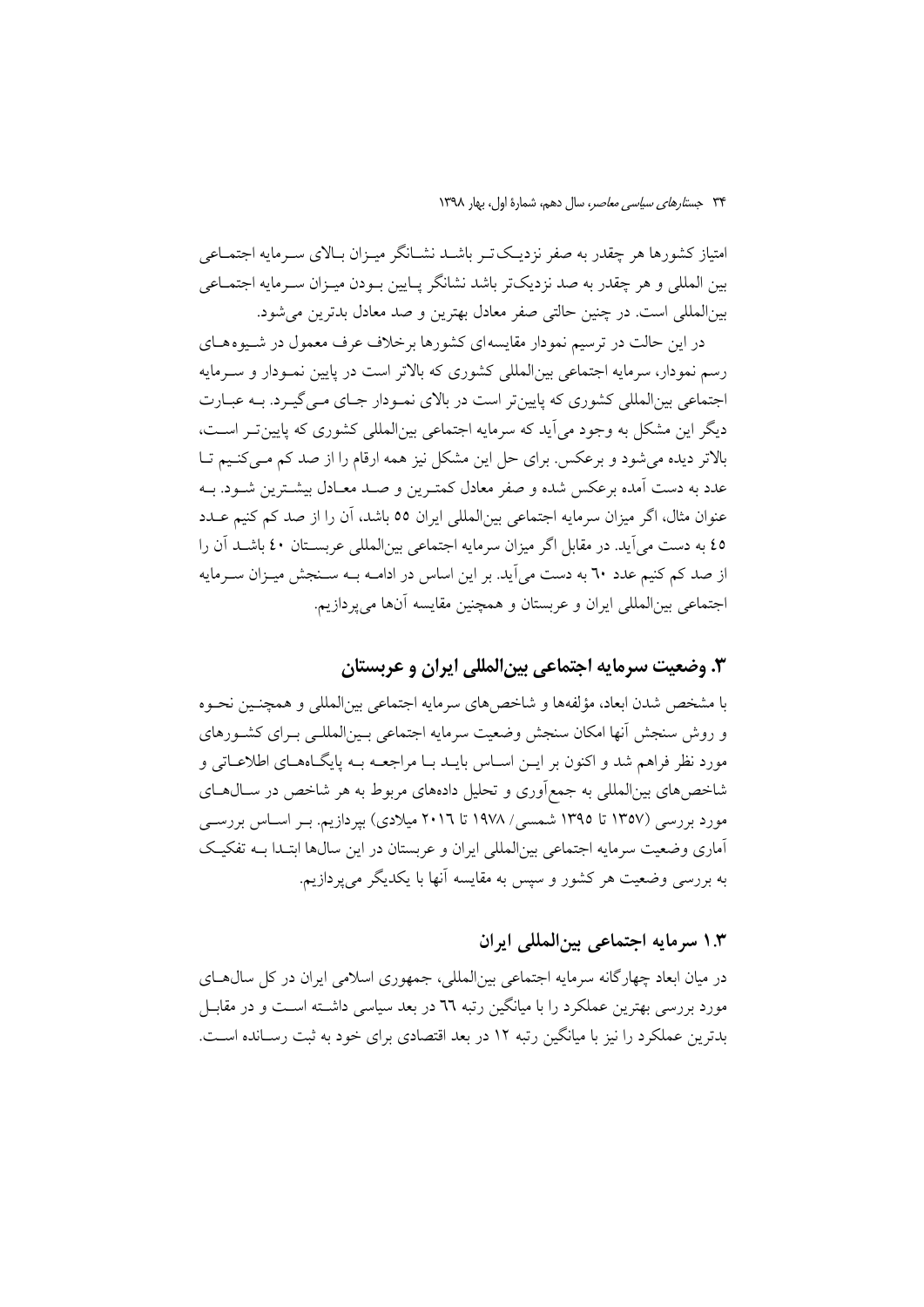امتیاز کشورها هر چقدر به صفر نزدیک تـر باشــد نشــانگر میــزان بــالای ســرمایه اجتمــاعی بین المللی و هر چقدر به صد نزدیکتر باشد نشانگر پـایین بـودن میـزان سـرمایه اجتمـاعی بینالمللی است. در چنین حالتی صفر معادل بهترین و صد معادل بدترین می شود.

در این حالت در ترسیم نمودار مقایسهای کشورها برخلاف عرف معمول در شیوههای رسم نمودار، سرمایه اجتماعی بین|لمللی کشوری که بالاتر است در پایین نمـودار و سـرمایه اجتماعی بین|لمللی کشوری که پایینتر است در بالای نمـودار جـای مـی گیـرد. بـه عبـارت دیگر این مشکل به وجود می آید که سرمایه اجتماعی بین|لمللی کشوری که پایین تـر اسـت، بالاتر دیده می شود و برعکس برای حل این مشکل نیز همه ارقام را از صد کم مـی کنـیم تـا عدد به دست آمده برعکس شده و صفر معادل کمتـرین و صـد معـادل بیشـترین شــود. بــه عنوان مثال، اگر میزان سرمایه اجتماعی بین|لمللی ایران ٥٥ باشد، آن را از صد کم کنیم عــدد ٤٥ به دست مي آيد. در مقابل اگر ميزان سرمايه اجتماعي بينالمللي عربسـتان ٤٠ باشــد آن را از صد کم کنیم عدد ٦٠ به دست مي آيد. بر اين اساس در ادامـه بـه سـنجش ميـزان سـرمايه اجتماعي بين|لمللي ايران و عربستان و همچنين مقايسه آنها مي پردازيم.

### ۳. وضعیت سرمایه اجتماعی بین|لمللی ایران و عربستان

با مشخص شدن ابعاد، مؤلفهها و شاخص هاي سرمايه اجتماعي بينالمللي و همچنـين نحـوه و روش سنجش أنها امكان سنجش وضعيت سرمايه اجتماعي بـينالمللـي بـراي كشـورهاي مورد نظر فراهم شد و اکنون بر ایــن اســاس بایــد بــا مراجعــه بــه پایگــاههــای اطلاعــاتی و شاخص های بین|لمللی به جمع|وری و تحلیل دادههای مربوط به هر شاخص در سـال۱عـای مورد بررسی (۱۳۵۷ تا ۱۳۹۵ شمسی/ ۱۹۷۸ تا ۲۰۱٦ میلادی) بپردازیم. بـر اسـاس بررســی آماری وضعیت سرمایه اجتماعی بین|لمللی ایران و عربستان در این سال&ا ابتـدا بــه تفکیـک به بررسی وضعیت هر کشور و سپس به مقایسه آنها با یکدیگر می پردازیم.

### ۱.۳ سرمایه اجتماعی بین المللی ایران

در میان ابعاد چهارگانه سرمایه اجتماعی بین|لمللی، جمهوری اسلامی ایران در کل سال هــای مورد بررسی بهترین عملکرد را با میانگین رتبه ٦٦ در بعد سیاسی داشــته اســت و در مقابــل بدترین عملکرد را نیز با میانگین رتبه ۱۲ در بعد اقتصادی برای خود به ثبت رسـانده اسـت.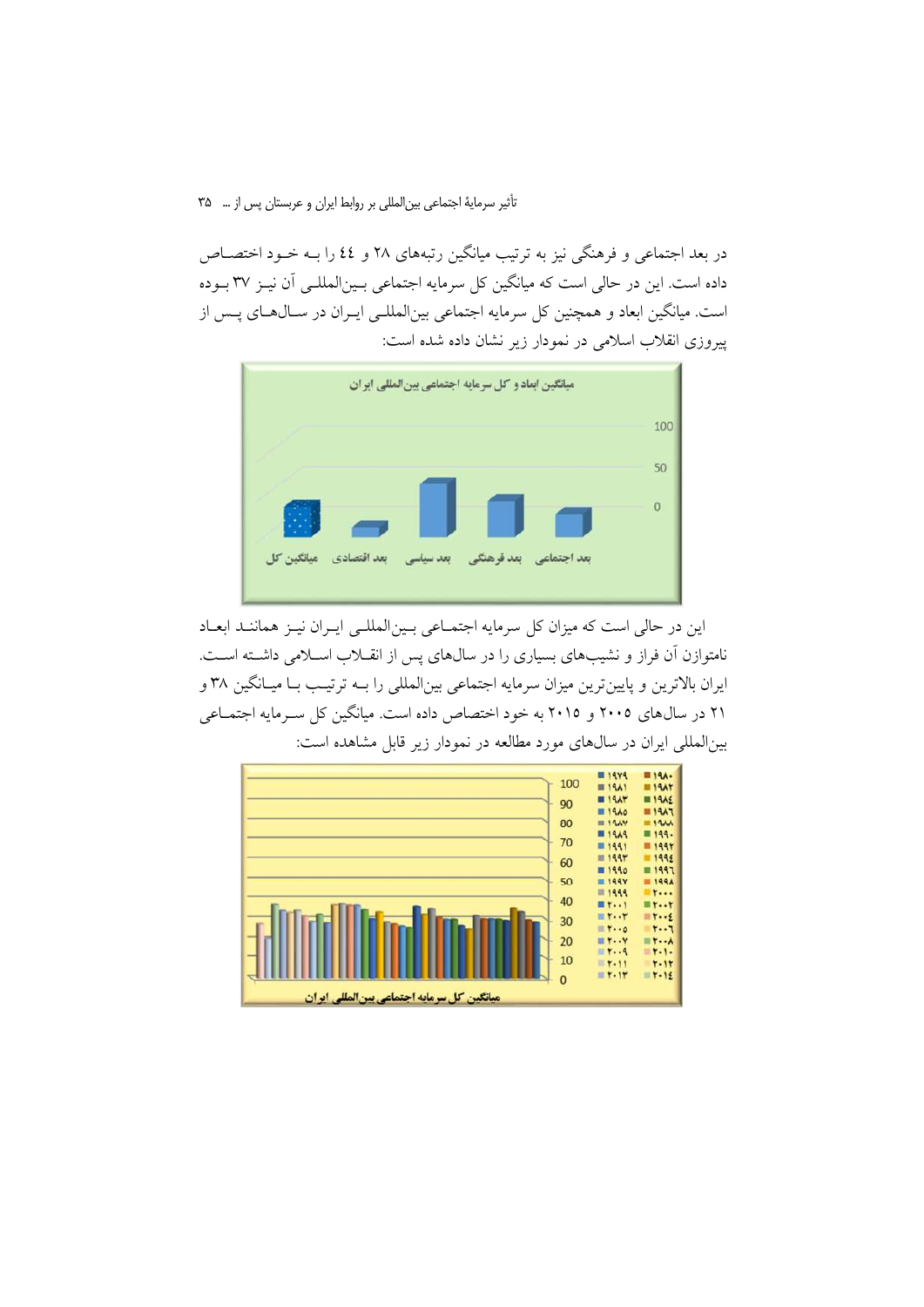تأثير سرماية اجتماعي بين المللي بر روابط ايران و عربستان پس از … ٣٥

در بعد اجتماعی و فرهنگی نیز به ترتیب میانگین رتبههای ۲۸ و ٤٤ را بــه خــود اختصــاص داده است. این در حالی است که میانگین کل سرمایه اجتماعی بـین|لمللـی آن نیـز ۳۷ بـوده است. میانگین ابعاد و همچنین کل سرمایه اجتماعی بینالمللـی ایــران در ســال۱هـای پــس از پیروزی انقلاب اسلامی در نمودار زیر نشان داده شده است:



این در حالی است که میزان کل سرمایه اجتمـاعی بـینالمللـی ایـران نیـز هماننـد ابعـاد نامتوازن آن فراز و نشیبهای بسیاری را در سالهای پس از انقبلاب اسبلامی داشته است. ایران بالاترین و پایینترین میزان سرمایه اجتماعی بینالمللی را بـه ترتیـب بـا میـانگین ۳۸ و ۲۱ در سال های ۲۰۰۵ و ۲۰۱۵ به خود اختصاص داده است. میانگین کل سـرمایه اجتمـاعی بین|لمللی ایران در سالهای مورد مطالعه در نمودار زیر قابل مشاهده است:

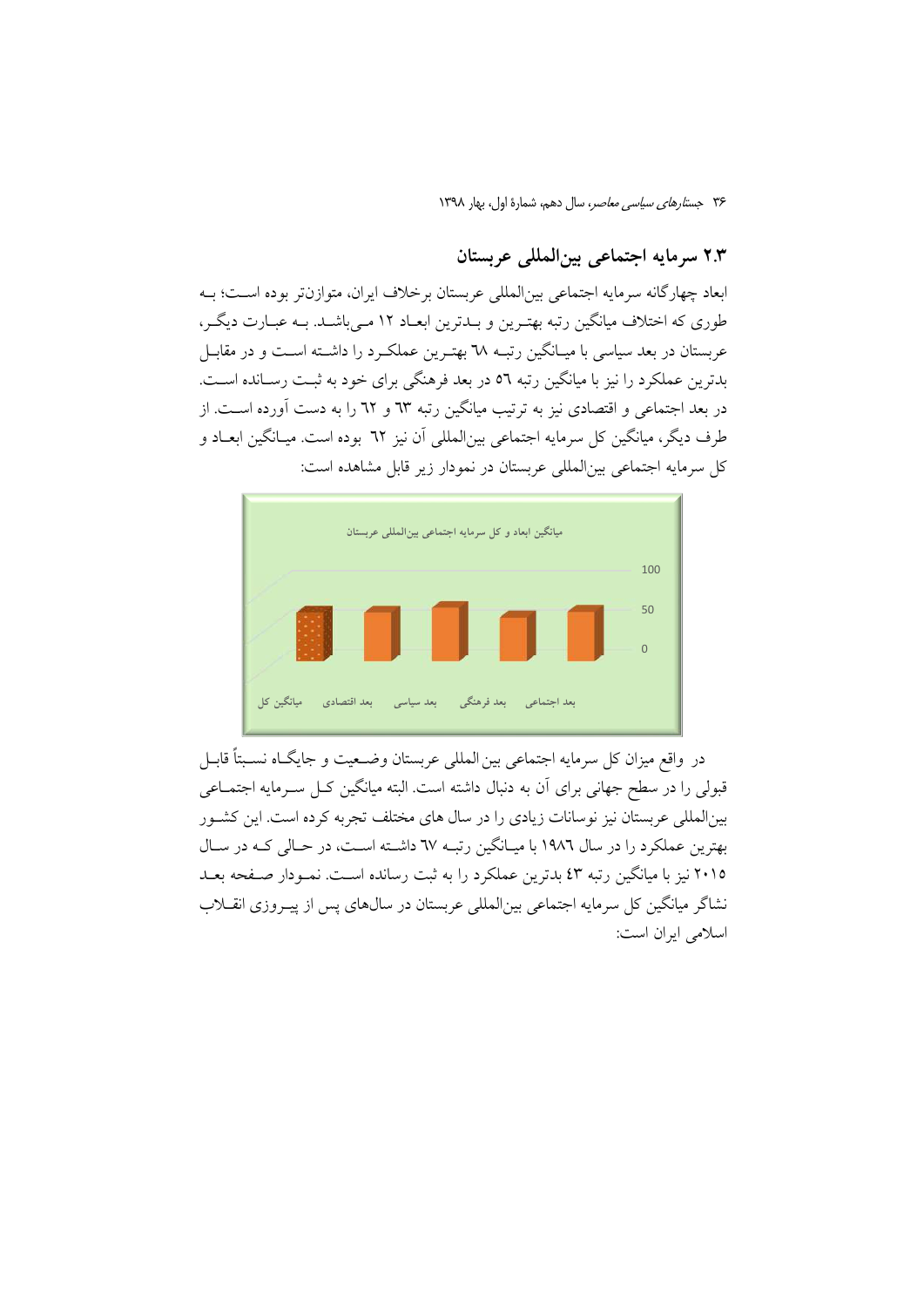### ٢.٣ سرمايه اجتماعي بينالمللي عربستان

ابعاد چهارگانه سرمایه اجتماعی بینالمللی عربستان برخلاف ایران، متوازنتر بوده اسـت؛ بـه طوری که اختلاف میانگین رتبه بهتـرین و بـدترین ابعـاد ۱۲ مـیباشـد. بـه عبـارت دیگـر، عربستان در بعد سیاسی با میـانگین رتبــه ٦٨ بهتـرین عملکــرد را داشــته اســت و در مقابــل بدترین عملکرد را نیز با میانگین رتبه ٥٦ در بعد فرهنگی برای خود به ثبت رسـانده اسـت. در بعد اجتماعی و اقتصادی نیز به ترتیب میانگین رتبه ٦٣ و ٦٢ را به دست آورده است. از طرف دیگر، مبانگین کل سرمایه اجتماعی بین|لمللی آن نیز ٦٢ بوده است. مبـانگین ایعــاد و كل سرمايه اجتماعي بين|لمللي عربستان در نمودار زير قابل مشاهده است:



در واقع ميزان كل سرمايه اجتماعي بين المللي عربستان وضـعيت و جايگــاه نســبتاً قابــل قبولي را در سطح جهاني براي آن به دنبال داشته است. البته ميانگين كـل سـرمايه اجتمــاعي بینالمللی عربستان نیز نوسانات زیادی را در سال های مختلف تجربه کرده است. این کشـور بهترین عملکرد را در سال ۱۹۸۲ با میانگین رتبه ٦٧ داشته است، در حـالی کـه در سـال ۲۰۱۵ نیز با میانگین رتبه ٤٣ بدترین عملکرد را به ثبت رسانده است. نمـودار صـفحه بعـد نشاگر میانگین کل سرمایه اجتماعی بین|لمللی عربستان در سال&ای پس از پیـروزی انقــلاب اسلامی ایران است: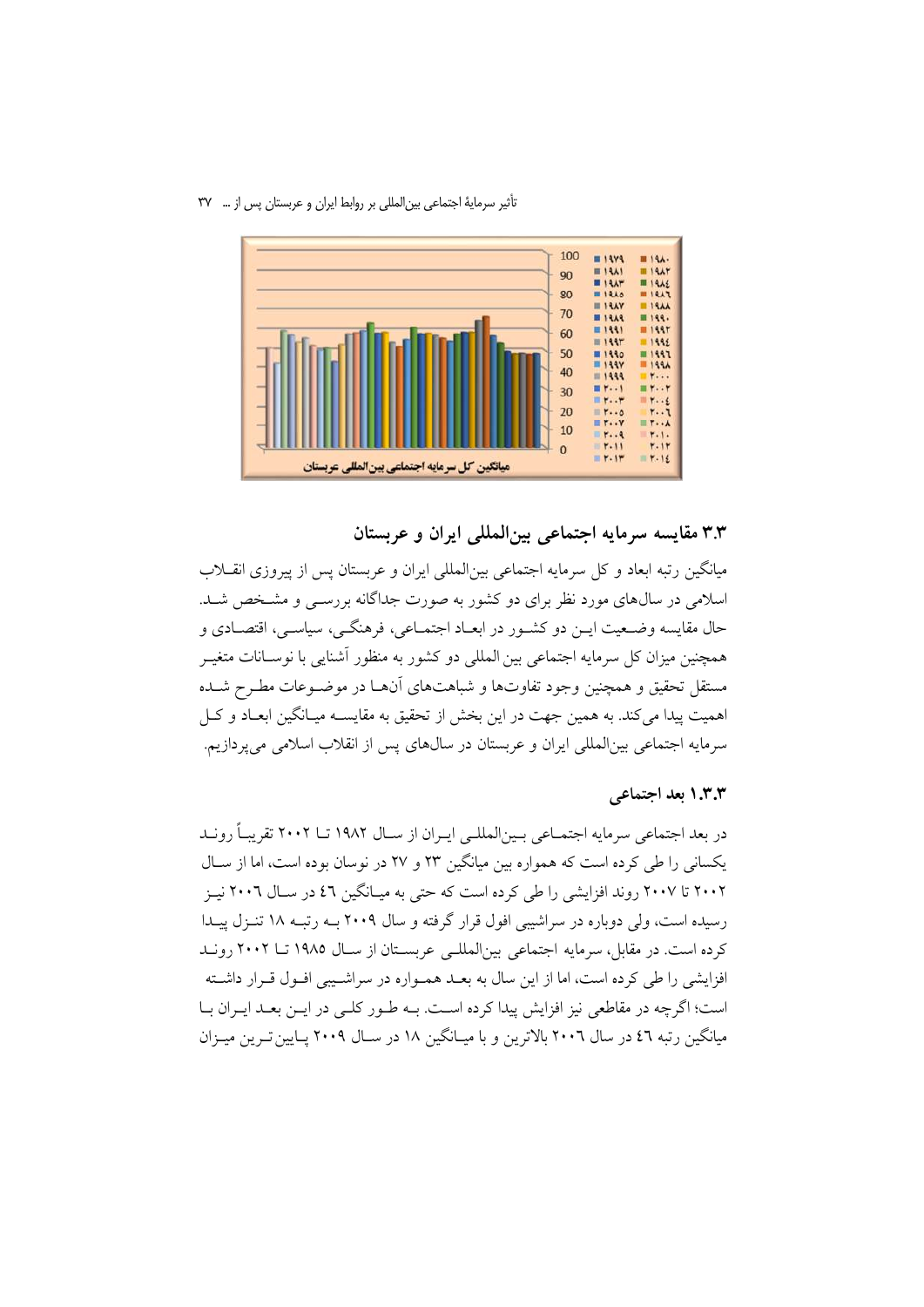#### تأثیر سرمایهٔ اجتماعی بین المللی بر روابط ایران و عربستان پس از … ۳۷



۳.۳ مقایسه سرمایه اجتماعی بینالمللی ایران و عربستان

میانگین رتبه ابعاد و کل سرمایه اجتماعی بین|لمللی ایران و عربستان پس از پیروزی انقــلاب اسلامی در سالهای مورد نظر برای دو کشور به صورت جداگانه بررســی و مشـخص شــد. حال مقايسه وضـعيت ايــن دو كشــور در ابعــاد اجتمــاعي، فرهنگــي، سياســي، اقتصــادي و همچنین میزان کل سرمایه اجتماعی بین المللی دو کشور به منظور آشنایی با نوسـانات متغیـر مستقل تحقیق و همچنین وجود تفاوتها و شباهتهای آنهـا در موضـوعات مطـرح شـده اهميت پيدا مي كند. به همين جهت در اين بخش از تحقيق به مقايســه ميــانگين ابعــاد و كــل سرمايه اجتماعي بين|لمللي ايران و عربستان در سالهاي پس از انقلاب اسلامي مي پردازيم.

### ۱.۳.۳ بعد اجتماعی

در بعد اجتماعی سرمایه اجتمــاعی بــین|لمللــی ایــران از ســال ۱۹۸۲ تــا ۲۰۰۲ تقریبــاً رونــد یکسانی را طی کرده است که همواره بین میانگین ۲۳ و ۲۷ در نوسان بوده است، اما از سـال ۲۰۰۲ تا ۲۰۰۷ روند افزایشی را طی کرده است که حتی به میبانگین ٤٦ در سیال ۲۰۰٦ نییز رسیده است، ولی دوباره در سراشیبی افول قرار گرفته و سال ۲۰۰۹ بـه رتبـه ۱۸ تنـزل پیـدا كرده است. در مقابل، سرمايه اجتماعي بين المللبي عربستان از سـال ١٩٨٥ تــا ٢٠٠٢ رونـد افزایشی را طی کرده است، اما از این سال به بعـد همـواره در سراشـیبی افـول قـرار داشـته است؛ اگرچه در مقاطعی نیز افزایش پیدا کرده است. بــه طــور کلــی در ایــن بعــد ایــران بــا میانگین رتبه ٤٦ در سال ٢٠٠٦ بالاترین و با میـانگین ١٨ در سـال ٢٠٠٩ پـایین تـرین میـزان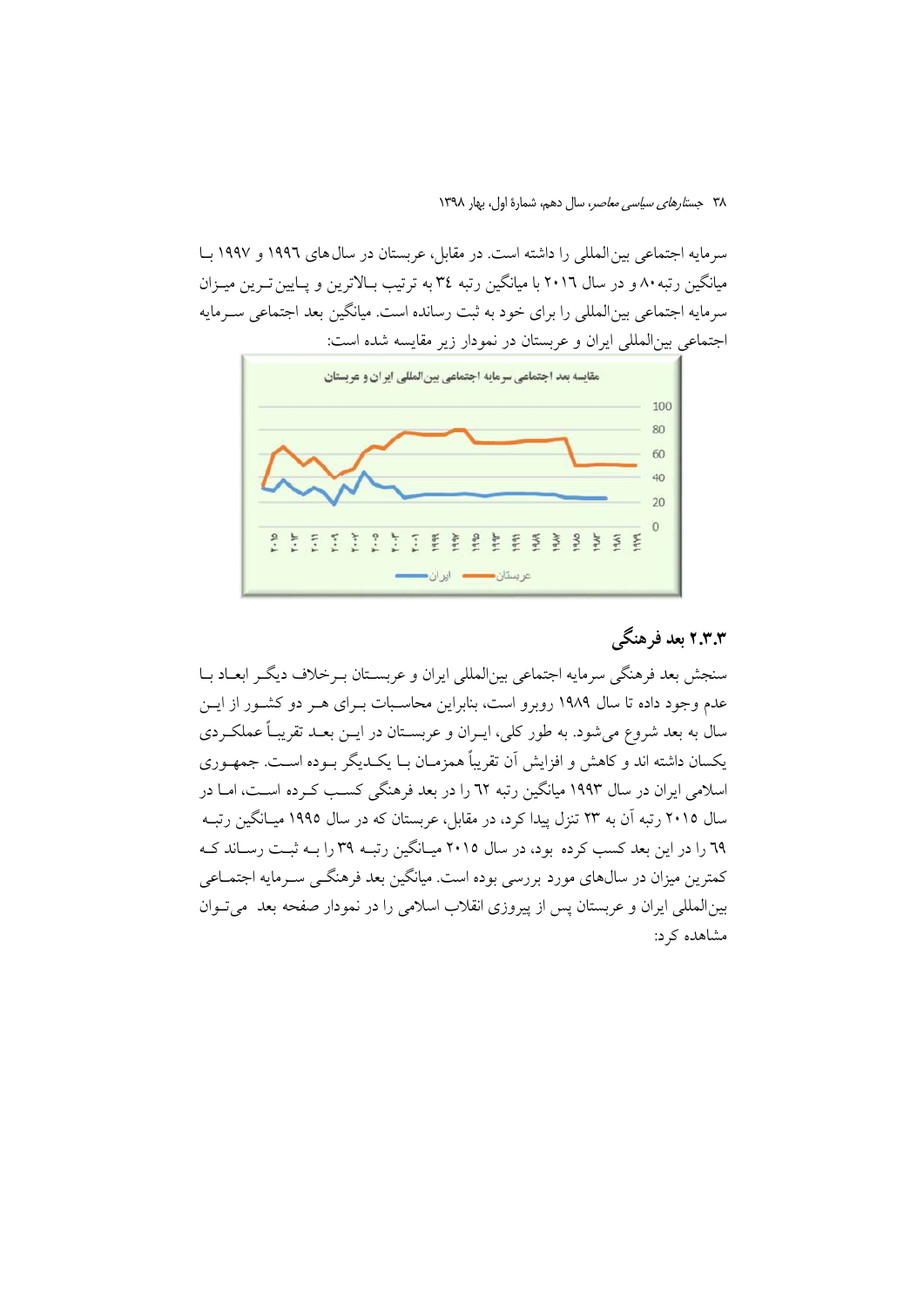سرمايه اجتماعي بين المللي را داشته است. در مقابل، عربستان در سال هاي ١٩٩٦ و ١٩٩٧ بــا میانگین رتبه ۸۰ و در سال ۲۰۱٦ با میانگین رتبه ۳٤ به ترتیب بـالاترین و پـایین تـرین میـزان سرمایه اجتماعی بین|لمللی را برای خود به ثبت رسانده است. میانگین بعد اجتماعی سـرمایه اجتماعي بين المللي ايران و عربستان در نمودار زير مقايسه شده است:



# ۲.۳.۳ بعد فرهنگی

سنجش بعد فرهنگي سرمايه اجتماعي بين|لمللي ايران و عربسـتان بـرخلاف ديگـر ابعــاد بــا عدم وجود داده تا سال ۱۹۸۹ روبرو است، بنابراین محاسـبات بـرای هــر دو کشــور از ایــن سال به بعد شروع می شود. به طور کلی، ایــران و عربســتان در ایــن بعــد تقریبــاً عملکــردی يكسان داشته اند و كاهش و افزايش آن تقريباً همزمـان بــا يكــديگر بــوده اســت. جمهــوري اسلامی ایران در سال ۱۹۹۳ میانگین رتبه ٦٢ را در بعد فرهنگی کسب کـرده اسـت، امــا در سال ۲۰۱۵ رتبه آن به ۲۳ تنزل پیدا کرد، در مقابل، عربستان که در سال ۱۹۹۵ میـانگین رتبــه ٦٩ را در اين بعد كسب كرده بود، در سال ٢٠١٥ ميـانگين رتبـه ٣٩ را بـه ثبـت رسـاند كـه کمترین میزان در سال@ای مورد بررسی بوده است. میانگین بعد فرهنگــی ســرمایه اجتمــاعی بین المللی ایران و عربستان پس از پیروزی انقلاب اسلامی را در نمودار صفحه بعد ً می تـوان مشاهده کرد: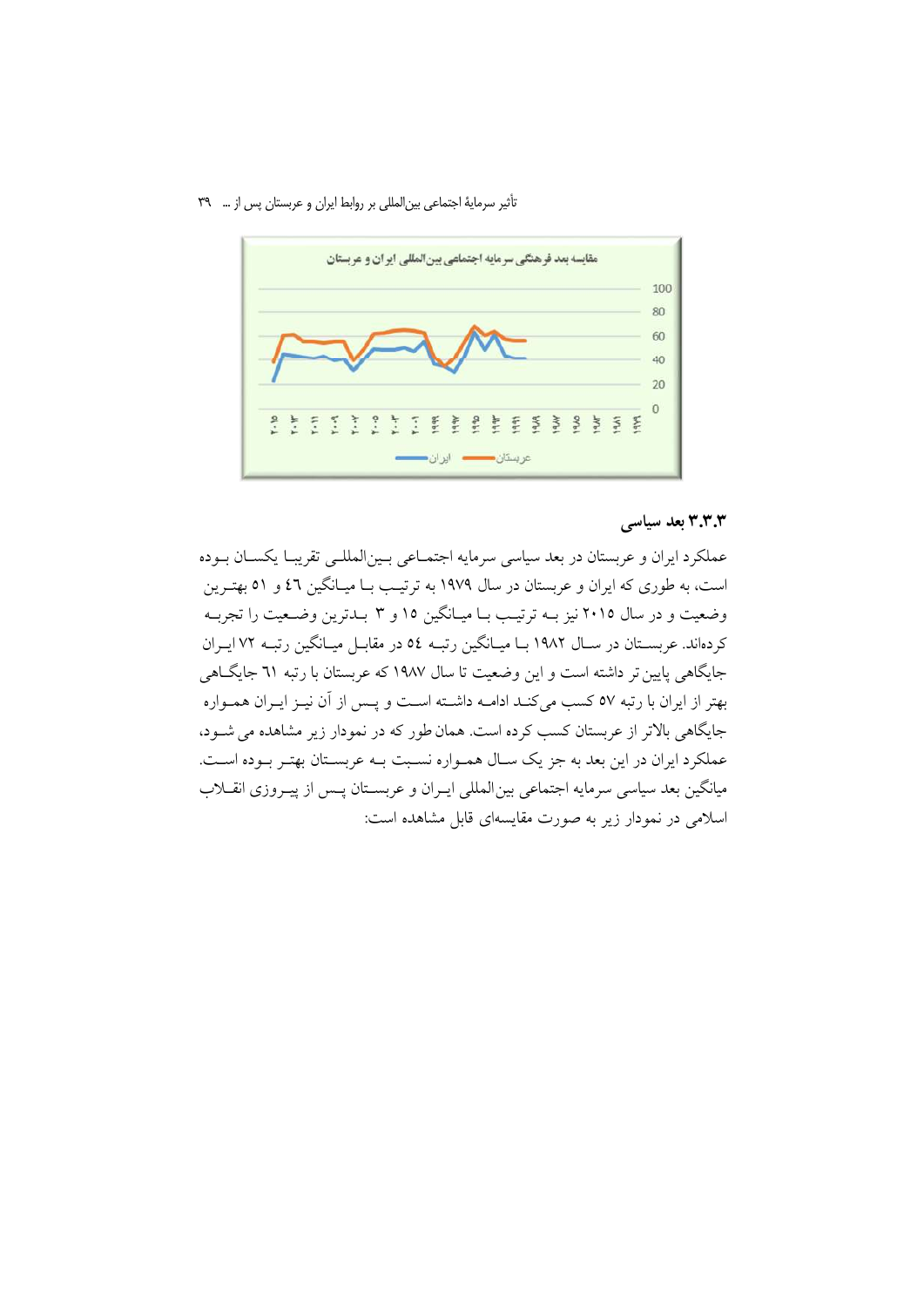تأثير سرماية اجتماعي بين المللي بر روابط ايران و عربستان پس از … ٣٩



### ۳.۳.۳ بعد سیاسی

عملکرد ایران و عربستان در بعد سیاسی سرمایه اجتمـاعی بـین|لمللـی تقریبـا یکسـان بـوده است، به طوری که ایران و عربستان در سال ۱۹۷۹ به ترتیب بیا میبانگین ۶۲ و ۵۱ بهتیرین وضعیت و در سال ۲۰۱۵ نیز بـه ترتیـب بـا میـانگین ۱۵ و ۳ بـدترین وضـعیت را تجربـه کردهاند. عربسـتان در سـال ۱۹۸۲ بــا ميــانگين رتبــه ٥٤ در مقابــل ميــانگين رتبــه ٧٢ ايــران جایگاهی پایین تر داشته است و این وضعیت تا سال ۱۹۸۷ که عربستان با رتبه ۳۱ جایگــاهی بهتر از ایران با رتبه ٥٧ كسب مىكنـد ادامــه داشــته اسـت و پــس از آن نيــز ايــران همــواره جایگاهی بالاتر از عربستان کسب کرده است. همان طور که در نمودار زیر مشاهده می شـود، عملکرد ایران در این بعد به جز یک سـال همـواره نسـبت بـه عربسـتان بهتـر بـوده اسـت. میانگین بعد سیاسی سرمایه اجتماعی بین المللی ایـران و عربسـتان پــس از پیـروزی انقــلاب اسلامی در نمودار زیر به صورت مقایسهای قابل مشاهده است: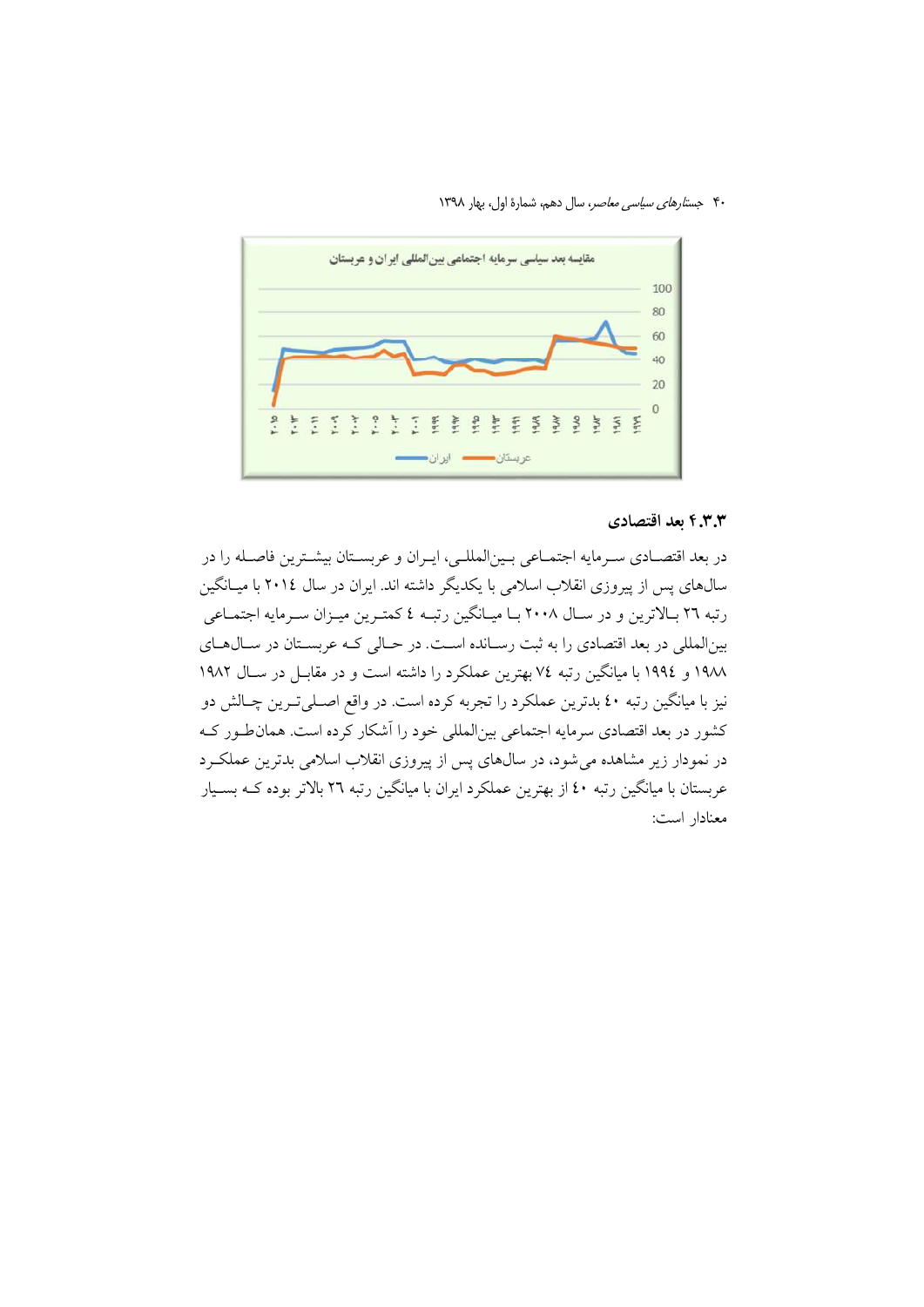۴۰ جستارهای سیاسی معاصر، سال دهم، شمارهٔ اول، بهار ۱۳۹۸



#### ۴.۳.۳ بعد اقتصادی

در بعد اقتصـادي سـرمايه اجتمـاعي بـينالمللـي، ايـران و عربسـتان بيشـترين فاصـله را در سالهای پس از پیروزی انقلاب اسلامی با یکدیگر داشته اند. ایران در سال ۲۰۱۶ با میـانگین رتبه ٢٦ بـالاترين و در سـال ٢٠٠٨ بـا ميـانگين رتبـه ٤ كمتـرين ميـزان سـرمايه اجتمـاعي بینالمللی در بعد اقتصادی را به ثبت رسـانده اسـت. در حـالی کـه عربسـتان در سـال۱عـای ١٩٨٨ و ١٩٩٤ با ميانگين رتبه ٧٤ بهترين عملكرد را داشته است و در مقابـل در ســال ١٩٨٢ نیز با میانگین رتبه ٤٠ بدترین عملکرد را تجربه کرده است. در واقع اصـلیتترین چـالش دو کشور در بعد اقتصادی سرمایه اجتماعی بین|لمللی خود را آشکار کرده است. همان طور کـه در نمودار زیر مشاهده می شود، در سالهای پس از پیروزی انقلاب اسلامی بدترین عملک رد عربستان با میانگین رتبه ٤٠ از بهترین عملکرد ایران با میانگین رتبه ٢٦ بالاتر بوده کــه بســیار معنادار است: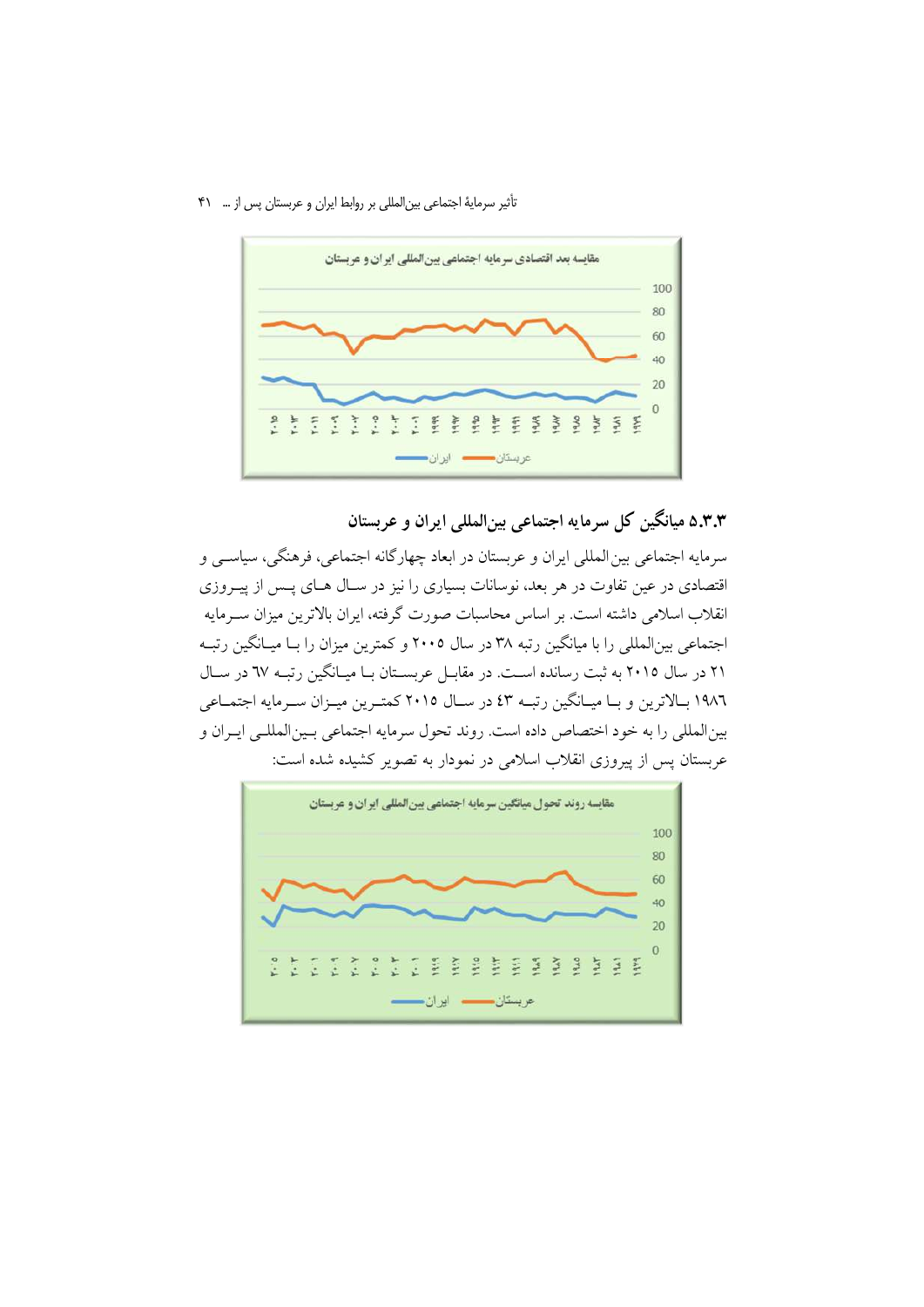تأثیر سرمایهٔ اجتماعی بین المللی بر روابط ایران و عربستان پس از … ۴۱



۵.۳.۳ میانگین کل سرمایه اجتماعی بینالمللی ایران و عربستان

سرمايه اجتماعي بين المللي ايران و عربستان در ابعاد چهارگانه اجتماعي، فرهنگي، سياســي و اقتصادی در عین تفاوت در هر بعد، نوسانات بسیاری را نیز در سـال هـای پـس از پیـروزی انقلاب اسلامی داشته است. بر اساس محاسبات صورت گرفته، ایران بالاترین میزان ســرمایه اجتماعی بین|لمللی را با میانگین رتبه ۳۸ در سال ۲۰۰۵ و کمترین میزان را بــا میــانگین رتبــه ۲۱ در سال ۲۰۱۵ به ثبت رسانده است. در مقابـل عربسـتان بـا ميـانگين رتبـه ٦٧ در سـال ۱۹۸٦ بـالاترین و بـا میـانگین رتبـه ٤٣ در سـال ٢٠١٥ کمتـرین میـزان سـرمایه اجتمـاعی بينالمللي را به خود اختصاص داده است. روند تحول سرمايه اجتماعي بـينالمللـي ايـران و عربستان پس از پیروزی انقلاب اسلامی در نمودار به تصویر کشیده شده است:

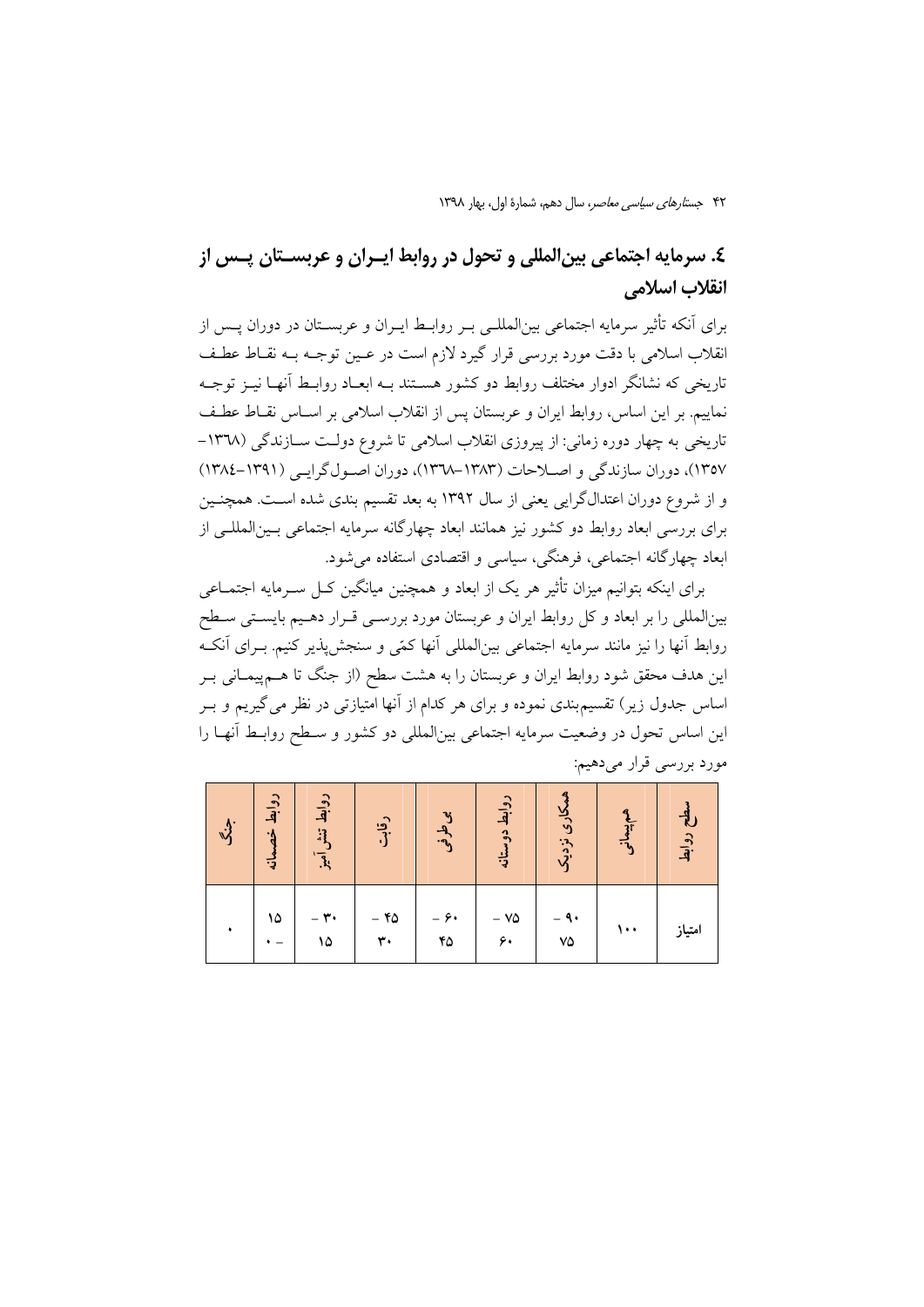# ٤. سرمايه اجتماعي بين|لمللي و تحول در روابط ايــران و عربســتان پــس از انقلاب اسلامي

برای آنکه تأثیر سرمایه اجتماعی بینالمللـی بـر روابـط ایـران و عربسـتان در دوران پـس از انقلاب اسلامی با دقت مورد بررسی قرار گیرد لازم است در عـین توجـه بـه نقــاط عطـف تاریخی که نشانگر ادوار مختلف روابط دو کشور هسـتند بـه ابعـاد روابـط آنهـا نیــز توجـه نماييم. بر اين اساس، روابط ايران و عربستان پس از انقلاب اسلامي بر اســاس نقــاط عطـف تاریخی به چهار دوره زمانی: از پیروزی انقلاب اسلامی تا شروع دولـت ســازندگی (۱۳۷۸– ١٣٥٧)، دوران سازندگی و اصلاحات (١٣٨٣-١٣٦٨)، دوران اصول گرايبي (١٣٩١-١٣٨٤) و از شروع دوران اعتدالگرایی یعنی از سال ۱۳۹۲ به بعد تقسیم بندی شده است. همچنـین برای بررسی ابعاد روابط دو کشور نیز همانند ابعاد چهارگانه سرمایه اجتماعی بـینالمللـی از ابعاد چهارگانه اجتماعی، فرهنگی، سیاسی و اقتصادی استفاده می شود.

برای اینکه پتوانیم میزان تأثیر هر یک از ایعاد و همچنین میانگین کیل سبرمایه اجتمباعی بینالمللی را بر ابعاد و کل روابط ایران و عربستان مورد بررســی قــرار دهــیم بایســتی ســطح روابط آنها را نیز مانند سرمایه اجتماعی بین|لمللی آنها کمّی و سنجش پذیر کنیم. بـرای آنکـه این هدف محقق شود روابط ایران و عربستان را به هشت سطح (از جنگ تا هــم پیمــانی بــر اساس جدول زیر) تقسیم.بندی نموده و برای هر کدام از آنها امتیازتی در نظر می گیریم و بـر این اساس تحول در وضعیت سرمایه اجتماعی بین|لمللی دو کشور و سـطح روابـط آنهـا را مورد بررسي قرار ميدهيم:

| $\vec{v}$ | روابط خ<br>छ | دوابط<br>$\ddot{3}$<br>$\overline{3}$ | رقابق        | بىطرفى     | روابط دوس<br>نيا:<br>په | کاری نزدیک             | <b>q</b><br>$\frac{1}{3}$<br>$\frac{3}{2}$ | مطح روابط |
|-----------|--------------|---------------------------------------|--------------|------------|-------------------------|------------------------|--------------------------------------------|-----------|
|           | ۱۵           | $-$ ۳.<br>۱۵                          | $-$ ۴۵<br>٣٠ | - ۶۰<br>۴۵ | $-$ V۵<br>۶.            | ۹۰ -<br>$\vee \varphi$ | ۱۰۰                                        | امتياز    |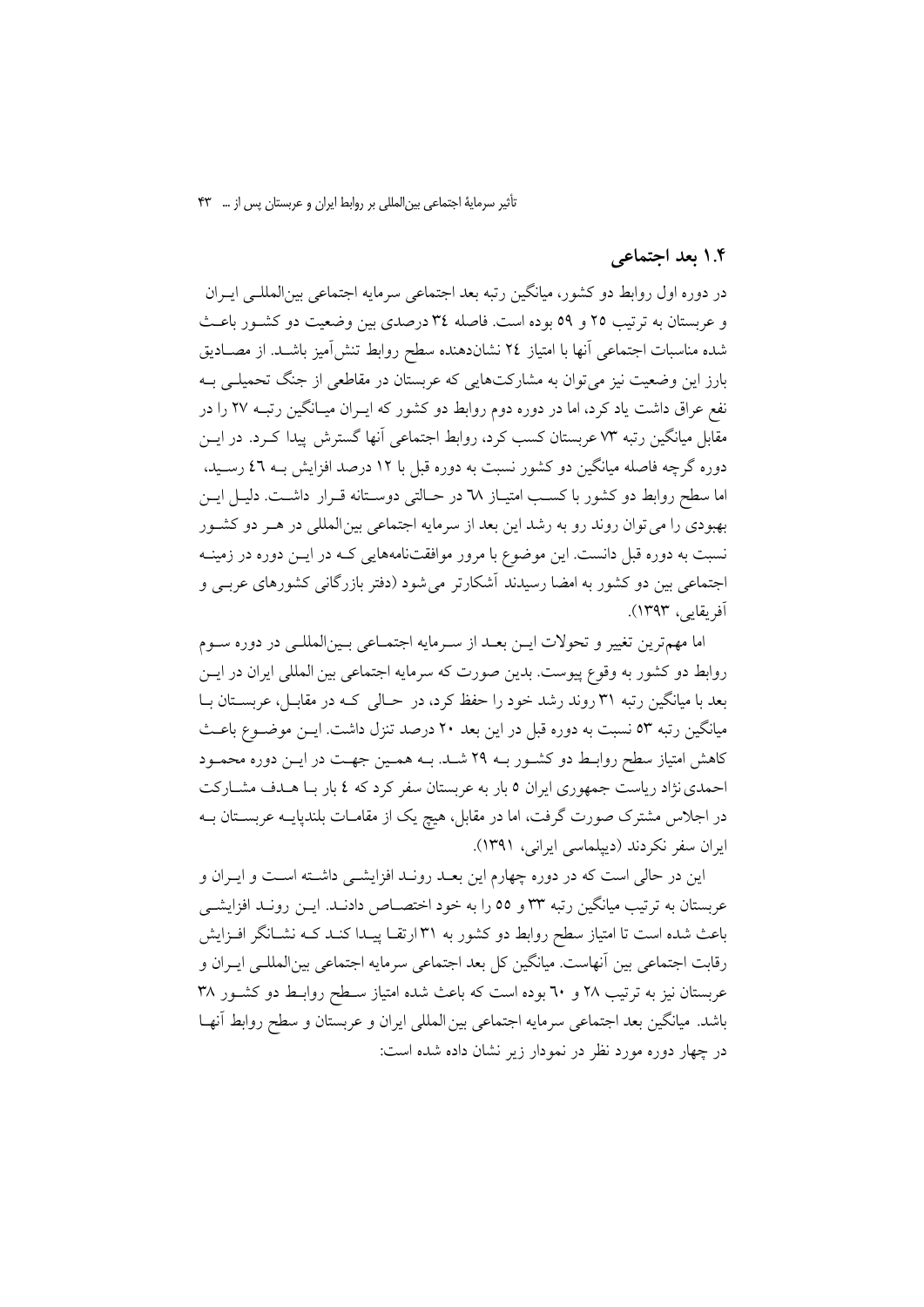تأثیر سرمایهٔ اجتماعی بین المللی بر روابط ایران و عربستان پس از … ۴۳

#### ۱.۴ بعد اجتماعی

در دوره اول روابط دو كشور، ميانگين رتبه بعد اجتماعي سرمايه اجتماعي بينالمللـي ايـران و عربستان به ترتیب ۲۵ و ۵۹ بوده است. فاصله ۳٤ درصدی بین وضعیت دو کشور باعث شده مناسبات اجتماعی آنها با امتیاز ٢٤ نشاندهنده سطح روابط تنش[میز باشـد. از مصــادیق بارز این وضعیت نیز میتوان به مشارکتهایی که عربستان در مقاطعی از جنگ تحمیلے به نفع عراق داشت یاد کرد، اما در دوره دوم روابط دو کشور که ایـران میـانگین رتبـه ۲۷ را در مقابل میانگین رتبه ۷۳ عربستان کسب کرد، روابط اجتماعی آنها گسترش پیدا کـرد. در ایــن دوره گرچه فاصله میانگین دو کشور نسبت به دوره قبل با ۱۲ درصد افزایش بـه ٤٦ رســید، اما سطح روابط دو کشور با کسب امتیـاز ٦٨ در حـالتی دوسـتانه قـرار داشـت. دليـل ايـن بهبودي را مي توان روند رو به رشد اين بعد از سرمايه اجتماعي بين المللي در هـر دو كشـور نسبت به دوره قبل دانست. این موضوع با مرور موافقتنامههایی کـه در ایــن دوره در زمینــه اجتماعی بین دو کشور به امضا رسیدند آشکارتر میشود (دفتر بازرگانی کشورهای عربـی و آفريقايي، ١٣٩٣).

اما مهمترين تغيير و تحولات ايـن بعـد از سـرمايه اجتمـاعي بـينالمللـي در دوره سـوم روابط دو کشور به وقوع پیوست. بدین صورت که سرمایه اجتماعی بین المللی ایران در ایــن بعد با میانگین رتبه ۳۱ روند رشد خود را حفظ کرد، در حـالی کـه در مقابـل، عربسـتان بـا میانگین رتبه ٥٣ نسبت به دوره قبل در این بعد ٢٠ درصد تنزل داشت. ایــن موضــوع باعــث کاهش امتیاز سطح روابـط دو کشـور بـه ۲۹ شـد. بـه همـین جهـت در ایــن دوره محمـود احمدی نژاد ریاست جمهوری ایران ٥ بار به عربستان سفر کرد که ٤ بار بـا هـدف مشــارکت در اجلاس مشترک صورت گرفت، اما در مقابل، هیچ یک از مقامــات بلندپایــه عربســتان بــه ایران سفر نکردند (دیپلماسی ایرانی، ۱۳۹۱).

این در حالی است که در دوره چهارم این بعــد رونــد افزایشــی داشــته اســت و ایــران و عربستان به ترتیب میانگین رتبه ۳۳ و ٥٥ را به خود اختصــاص دادنــد. ایــن رونــد افزایشــی باعث شده است تا امتیاز سطح روابط دو کشور به ۳۱ارتقـا پیــدا کنــد کــه نشــانگر افــزایش رقابت اجتماعی بین آنهاست. میانگین کل بعد اجتماعی سرمایه اجتماعی بینالمللـی ایــران و عربستان نیز به ترتیب ۲۸ و ۳۰ بوده است که باعث شده امتیاز سـطح روابـط دو کشـور ۳۸ باشد. میانگین بعد اجتماعی سرمایه اجتماعی بین المللی ایران و عربستان و سطح روابط آنهـا در چهار دوره مورد نظر در نمودار زیر نشان داده شده است: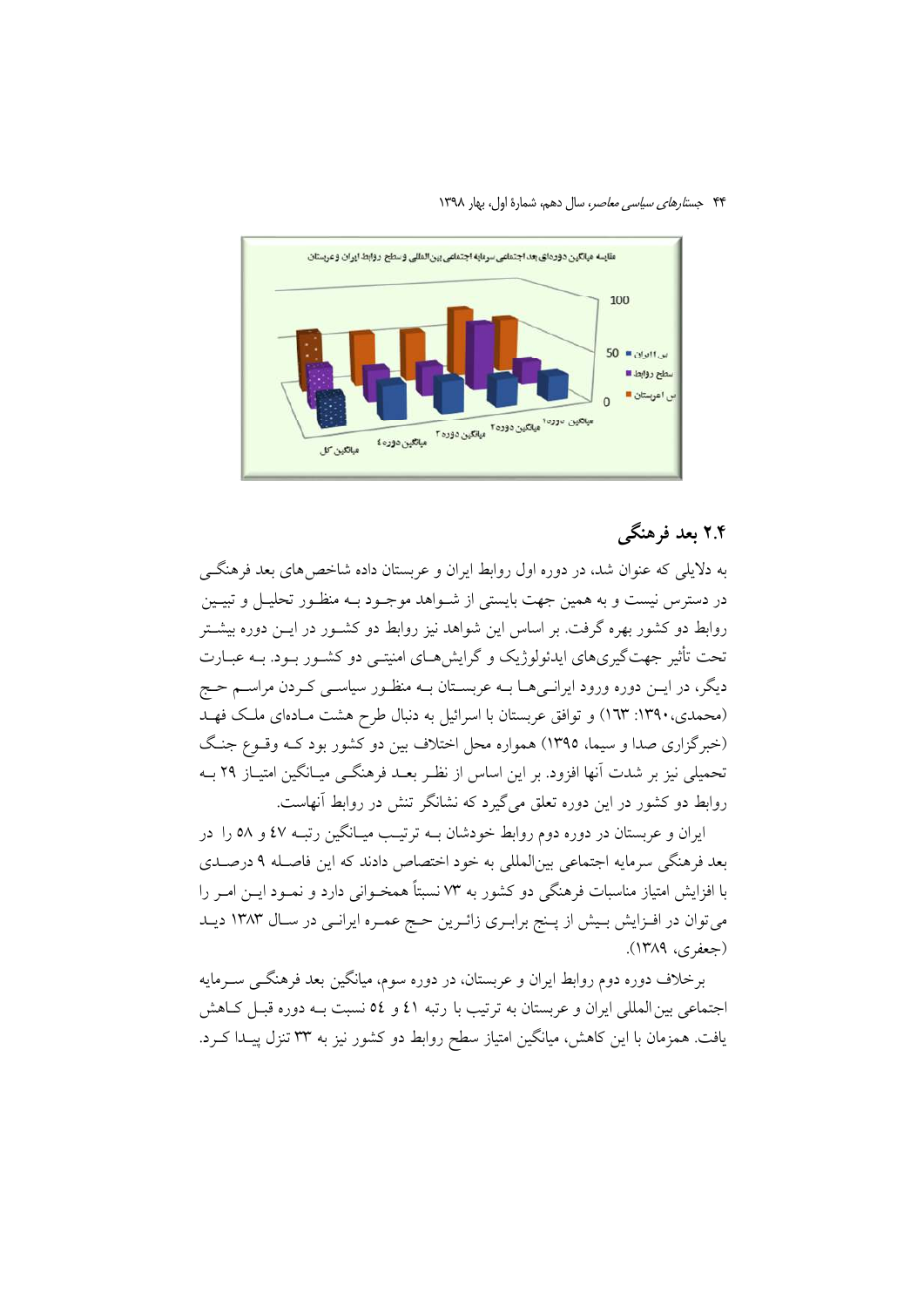۴۴ جستارهای سیاسی معاصر، سال دهم، شمارهٔ اول، بهار ۱۳۹۸



# ۲.۴ بعد فرهنگے

به دلایلی که عنوان شد، در دوره اول روابط ایران و عربستان داده شاخص های بعد فرهنگے در دسترس نیست و به همین جهت بایستی از شـواهد موجـود بـه منظـور تحلیـل و تبیـین روابط دو کشور بهره گرفت. بر اساس این شواهد نیز روابط دو کشــور در ایــن دوره بیشــتر تحت تأثیر جهتگیریهای ایدئولوژیک و گرایش هــای امنیتــی دو کشــور بــود. بــه عبــارت دیگر، در ایــن دوره ورود ایرانــی۱هــا بــه عربســتان بــه منظــور سیاســی کــردن مراســم حــج (محمدی، ۱۳۹۰: ۱۳۳) و توافق عربستان با اسرائیل به دنبال طرح هشت مـادهای ملـک فهـد (خبرگزاری صدا و سیما، ۱۳۹۵) همواره محل اختلاف بین دو کشور بود کـه وقـوع جنـگ تحمیلی نیز بر شدت آنها افزود. بر این اساس از نظـر بعـد فرهنگـی میـانگین امتیـاز ۲۹ بـه روابط دو کشور در این دوره تعلق میگیرد که نشانگر تنش در روابط آنهاست.

ایران و عربستان در دوره دوم روابط خودشان بـه ترتیـب میـانگین رتبـه ٤٧ و ٥٨ را در بعد فرهنگی سرمایه اجتماعی بین|لمللی به خود اختصاص دادند که این فاصـله ۹ درصـدی با افزایش امتیاز مناسبات فرهنگی دو کشور به ۷۳ نسبتاً همخـوانی دارد و نمـود ایــن امــر را می توان در افـزایش بـیش از پـنج برابـری زائـرین حـج عمـره ایرانـی در سـال ۱۳۸۳ دیـد (جعفري، ١٣٨٩).

برخلاف دوره دوم روابط ایران و عربستان، در دوره سوم، میانگین بعد فرهنگـی سـرمایه اجتماعی بین المللی ایران و عربستان به ترتیب با رتبه ٤١ و ٥٤ نسبت بـه دوره قبـل كـاهش یافت. همزمان با این کاهش، میانگین امتیاز سطح روابط دو کشور نیز به ۳۳ تنزل پیــدا کــرد.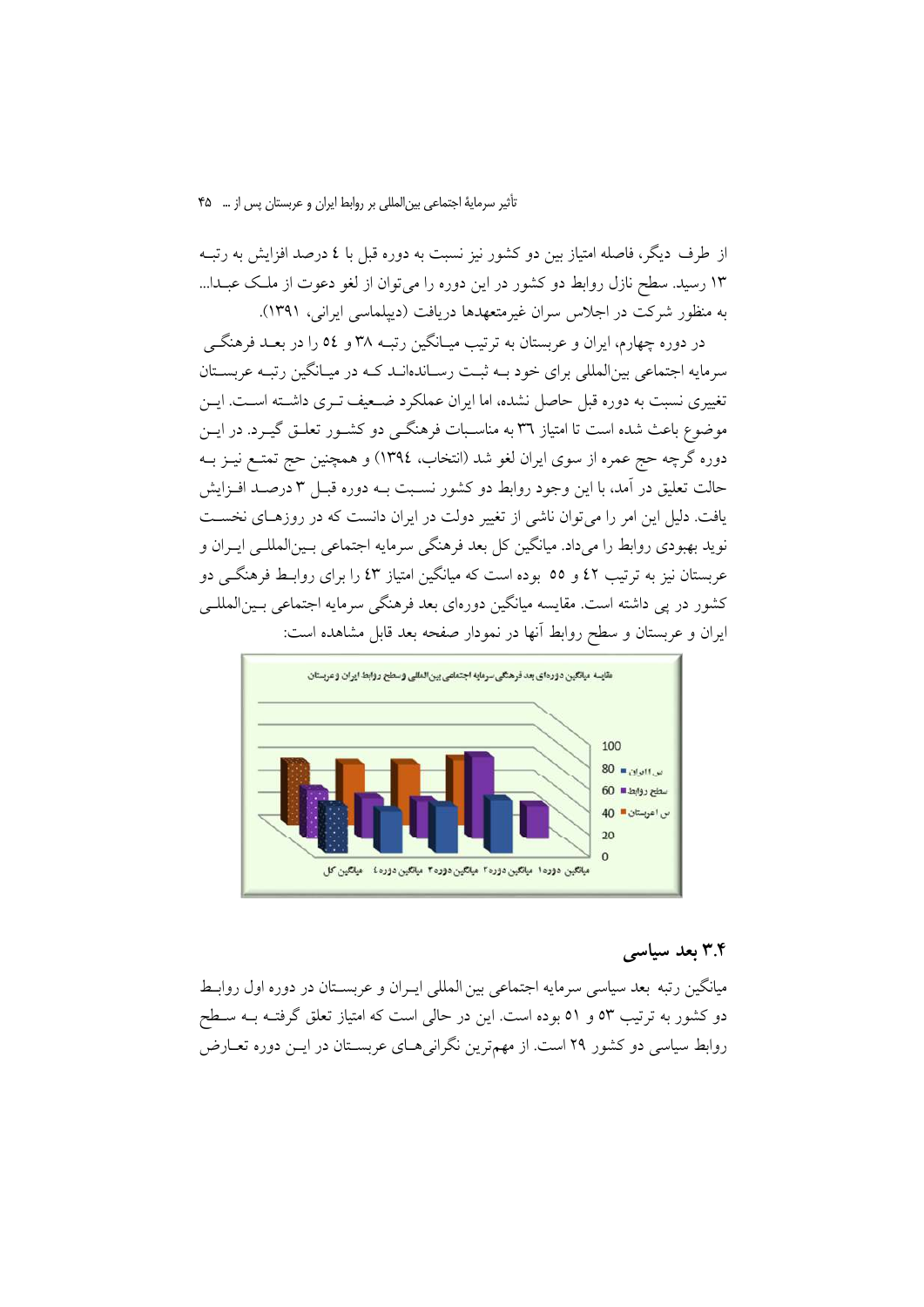تأثیر سرمایهٔ اجتماعی بین المللی بر روابط ایران و عربستان پس از … ۴۵

از طرف دیگر، فاصله امتیاز بین دو کشور نیز نسبت به دوره قبل با ٤ درصد افزایش به رتبـه ۱۳ رسید. سطح نازل روابط دو کشور در این دوره را می توان از لغو دعوت از ملک عبـدا... به منظور شرکت در اجلاس سران غیرمتعهدها دریافت (دیپلماسی ایرانی، ۱۳۹۱).

در دوره چهارم، ایران و عربستان به ترتیب میـانگین رتبــه ۳۸ و ٥٤ را در بعــد فرهنگــی سرمایه اجتماعی بینالمللی برای خود بـه ثبـت رسـاندهانـد کـه در میـانگین رتبـه عربسـتان تغییری نسبت به دوره قبل حاصل نشده، اما ایران عملکرد ضبعیف تیری داشته است. این موضوع باعث شده است تا امتیاز ۳٦ به مناسـبات فرهنگــی دو کشــور تعلــق گیــرد. در ایــن دوره گرچه حج عمره از سوی ایران لغو شد (انتخاب، ١٣٩٤) و همچنین حج تمتـع نیــز بــه حالت تعليق در آمد، با اين وجود روابط دو كشور نسـبت بــه دوره قبــل ٣ درصــد افــزايش یافت. دلیل این امر را می توان ناشی از تغییر دولت در ایران دانست که در روزهـای نخسـت نويد بهبودي روابط را ميداد. ميانگين كل بعد فرهنگي سرمايه اجتماعي بـينالمللـي ايـران و عربستان نیز به ترتیب ٤٢ و ٥٥ بوده است که میانگین امتیاز ٤٣ را برای روابـط فرهنگــی دو کشور در پی داشته است. مقایسه میانگین دورەای بعد فرهنگی سرمایه اجتماعی بـین|لمللـی ایران و عربستان و سطح روابط آنها در نمودار صفحه بعد قابل مشاهده است:



# ۳.۴ بعد سیاسی

میانگین رتبه بعد سیاسی سرمایه اجتماعی بین المللی ایـران و عربسـتان در دوره اول روابـط دو کشور به ترتیب ٥٣ و ٥١ بوده است. این در حالی است که امتیاز تعلق گرفتـه بــه ســطح روابط سیاسی دو کشور ۲۹ است. از مهمترین نگرانی هـای عربسـتان در ایــن دوره تعــارض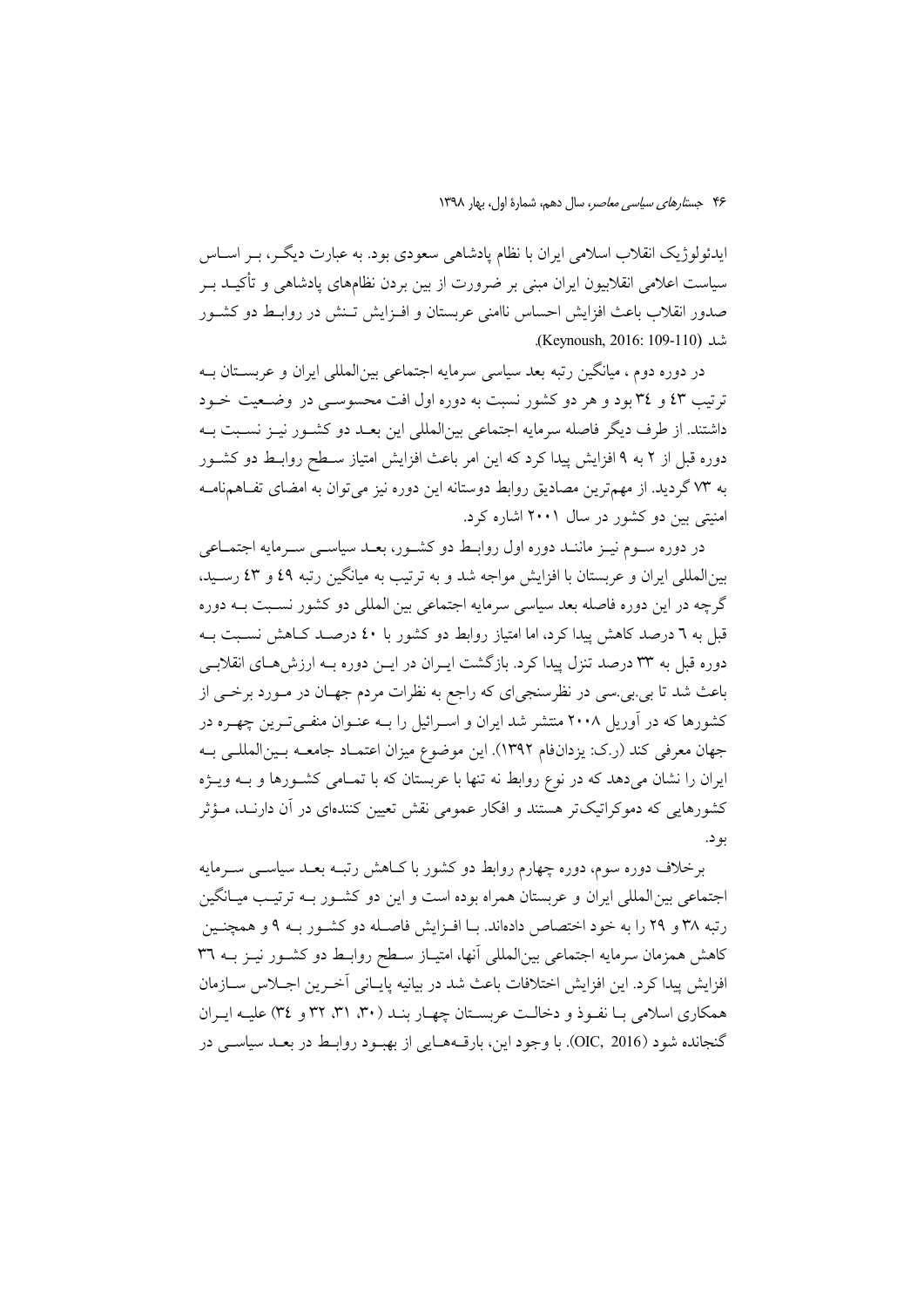ایدئولوژیک انقلاب اسلامی ایران با نظام یادشاهی سعودی بود. به عبارت دیگــر، بــر اســاس سیاست اعلامی انقلابیون ایران مبنی بر ضرورت از بین بردن نظامهای یادشاهی و تأکیــد بــر صدور انقلاب باعث افزایش احساس ناامنی عربستان و افـزایش تـنش در روابـط دو کشـور شد (Keynoush, 2016: 109-110).

در دوره دوم ، میانگین رتبه بعد سیاسی سرمایه اجتماعی بینالمللی ایران و عربسـتان بــه ترتیب ٤٣ و ٣٤ بود و هر دو کشور نسبت به دوره اول افت محسوسی در وضعیت خـود داشتند. از طرف دیگر فاصله سرمایه اجتماعی بین|لمللی این بعـد دو کشـور نیـز نسـبت بـه دوره قبل از ۲ به ۹ افزایش پیدا کرد که این امر باعث افزایش امتیاز سـطح روابـط دو کشـور به ٧٣ گرديد. از مهمترين مصاديق روابط دوستانه اين دوره نيز مي توان به امضاي تفـاهـمنامـه امنیتی بین دو کشور در سال ۲۰۰۱ اشاره کرد.

در دوره سـوم نيـز ماننـد دوره اول روابـط دو كشـور، بعـد سياسـي سـرمايه اجتمـاعي بینالمللی ایران و عربستان با افزایش مواجه شد و به ترتیب به میانگین رتبه ٤٩ و ٤٣ رسـید، گرچه در این دوره فاصله بعد سیاسی سرمایه اجتماعی بین المللی دو کشور نسبت بـه دوره قبل به ٦ درصد کاهش پیدا کرد، اما امتیاز روابط دو کشور با ٤٠ درصـد کـاهش نسـبت بـه دوره قبل به ۳۳ درصد تنزل پیدا کرد. بازگشت ایـران در ایــن دوره بــه ارزش۵هـای انقلابــی باعث شد تا بی.بی.سی در نظرسنجیای که راجع به نظرات مردم جهـان در مـورد برخــی از کشورها که در آوریل ۲۰۰۸ منتشر شد ایران و اسـرائیل را بــه عنــوان منفــیتــرین چهــره در جهان معرفي كند (ر.ك: يزدانفام ١٣٩٢). اين موضوع ميزان اعتمـاد جامعـه بـين|لمللـي بـه ایران را نشان میدهد که در نوع روابط نه تنها با عربستان که با تمـامی کشـورها و بـه ویـژه کشورهایی که دموکراتیکتر هستند و افکار عمومی نقش تعیین کنندهای در اَن دارنــد، مـؤثر بو د.

برخلاف دوره سوم، دوره چهارم روابط دو کشور با کـاهش رتبـه بعـد سیاسـی سـرمایه اجتماعی بین المللی ایران و عربستان همراه بوده است و این دو کشـور بـه ترتیـب میـانگین رتبه ٣٨ و ٢٩ را به خود اختصاص دادهاند. بـا افـزايش فاصـله دو كشـور بـه ٩ و همچنـين کاهش همزمان سرمایه اجتماعی بینالمللی آنها، امتیـاز سـطح روابـط دو کشـور نیـز بــه ٣٦ افزايش پيدا كرد. اين افزايش اختلافات باعث شد در بيانيه پايــاني آخــرين اجــلاس ســازمان همکاری اسلامی با نفیوذ و دخالت عربستان چهبار بنید (۳۰، ۳۱، ۳۲ و ۳٤) علییه ایبران گنجانده شود (OIC, 2016). با وجود اين، بارقـههـايي از بهبـود روابـط در بعـد سياسـي در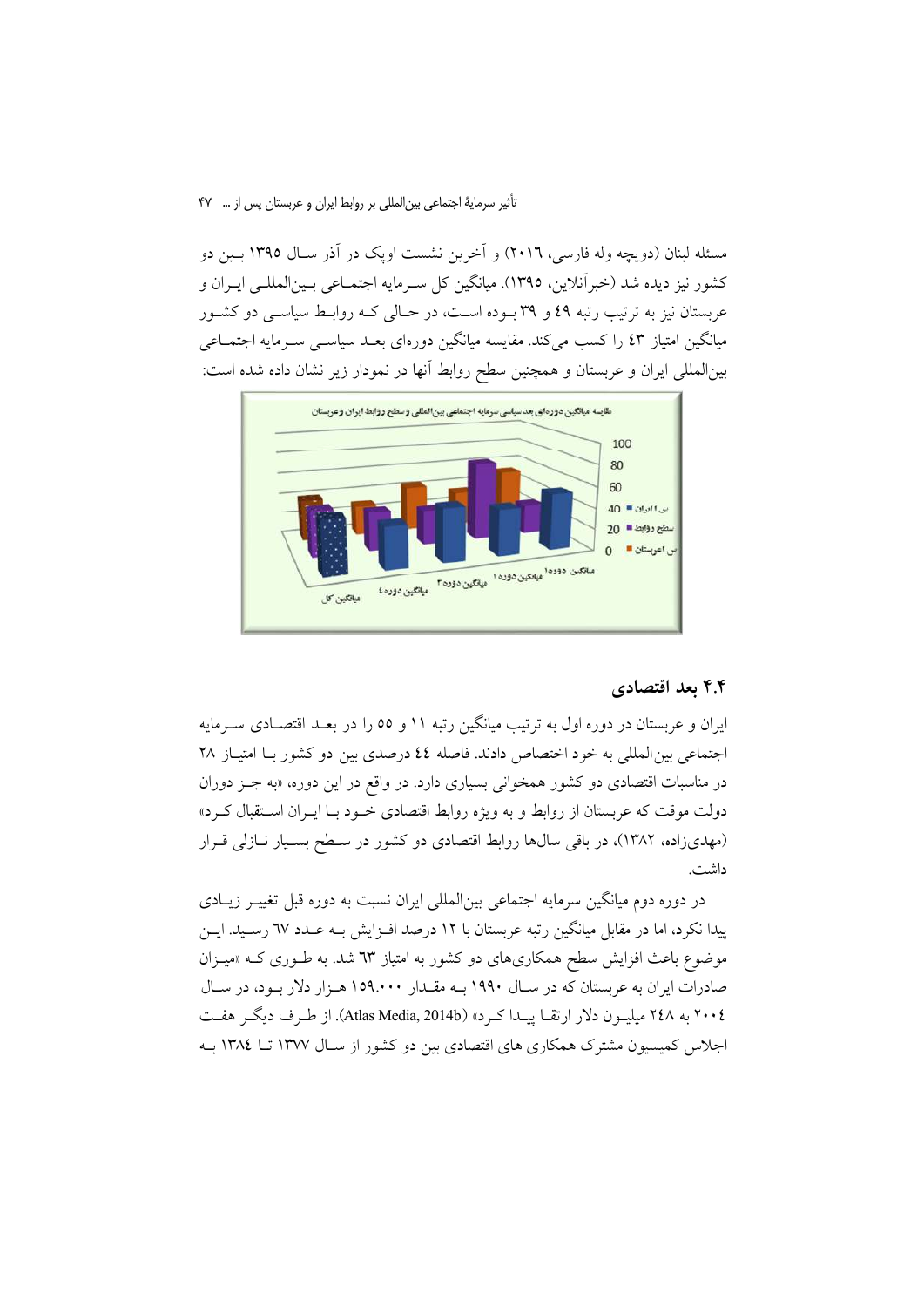#### تأثیر سرمایهٔ اجتماعی بین|لمللی بر روابط ایران و عربستان پس از … **۴۷**

مسئله لبنان (دویچه وله فارسی، ٢٠١٦) و آخرین نشست اویک در آذر ســال ١٣٩٥ بــین دو كشور نيز ديده شد (خبرآنلاين، ١٣٩٥). ميانگين كل سـرمايه اجتمــاعي بـين|لمللـي ايــران و عربستان نیز به ترتیب رتبه ٤٩ و ٣٩ بــوده اســت، در حــالی کــه روابــط سیاســی دو کشــور میانگین امتیاز ٤٣ را کسب می کند. مقایسه میانگین دورهای بعــد سیاســی ســرمایه اجتمــاعی بینالمللی ایران و عربستان و همچنین سطح روابط آنها در نمودار زیر نشان داده شده است:



### ۴.۴ بعد اقتصادی

ایران و عربستان در دوره اول به ترتیب میانگین رتبه ۱۱ و ٥٥ را در بعـد اقتصـادی سـرمایه اجتماعی بین المللی به خود اختصاص دادند. فاصله ٤٤ درصدی بین دو کشور بـا امتیـاز ٢٨ در مناسبات اقتصادی دو کشور همخوان<sub>ی</sub> بسیاری دارد. در واقع در این دوره، «به جــز دوران دولت موقت که عربستان از روابط و به ویژه روابط اقتصادی خـود بـا ایـران اسـتقبال کـرد» (مهدیزاده، ۱۳۸۲)، در باقی سالها روابط اقتصادی دو کشور در سطح بسیار نبازلی قرار داشت.

در دوره دوم میانگین سرمایه اجتماعی بینالمللی ایران نسبت به دوره قبل تغییـر زیـادی پیدا نکرد، اما در مقابل میانگین رتبه عربستان با ۱۲ درصد افـزایش بـه عـدد ٦٧ رسـید. ایـن موضوع باعث افزایش سطح همکاریهای دو کشور به امتیاز ٦٣ شد. به طـوری کــه «میـزان صادرات ایران به عربستان که در سـال ۱۹۹۰ بـه مقـدار ۱۵۹.۰۰۰ هـزار دلار بـود، در سـال ٢٠٠٤ به ٢٤٨ ميليـون دلار ارتقـا پيـدا كـرد» (Atlas Media, 2014b). از طـرف ديگـر هفـت اجلاس کمیسیون مشترک همکاری های اقتصادی بین دو کشور از سـال ۱۳۷۷ تــا ۱۳۸٤ بـه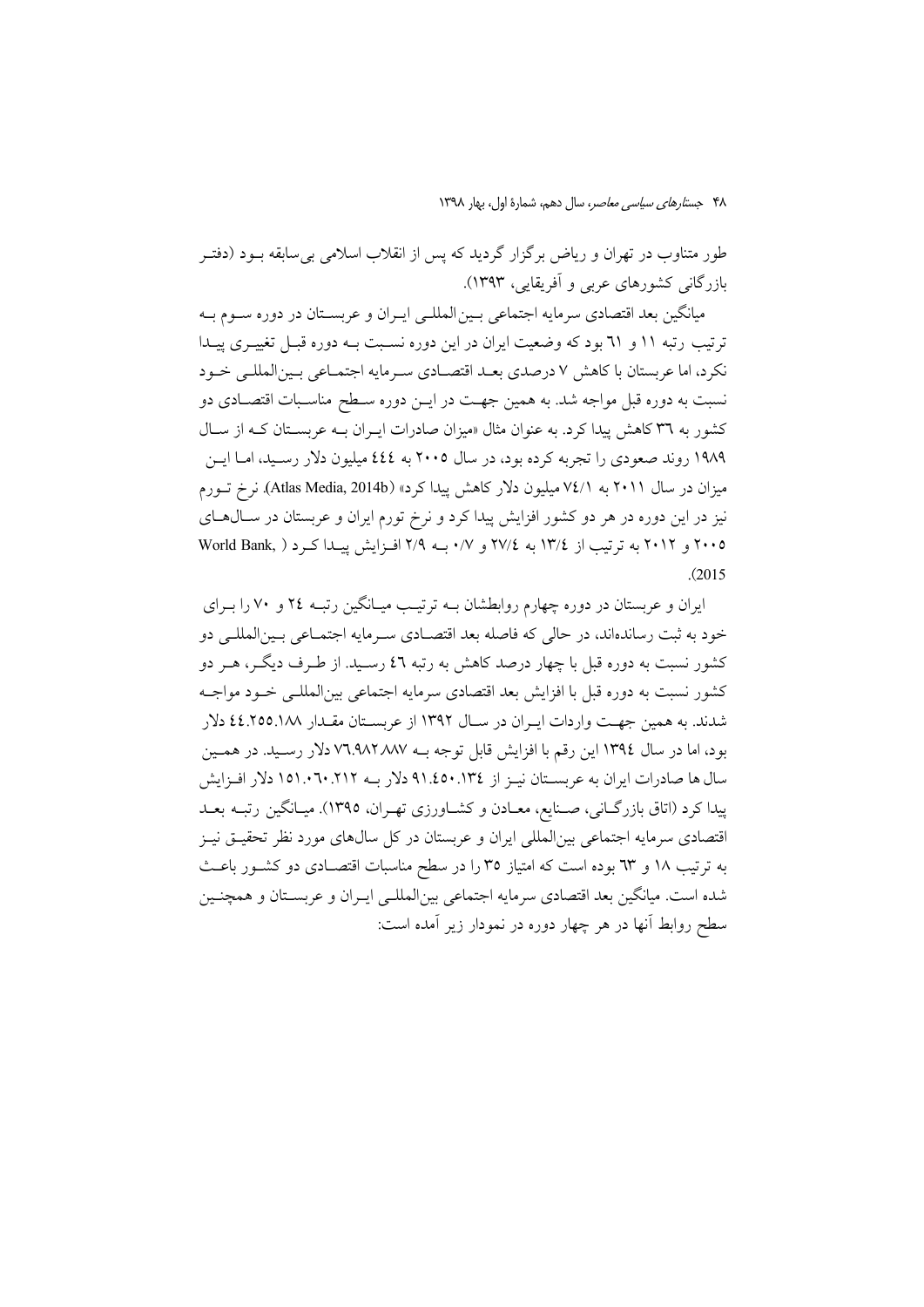طور متناوب در تهران و ریاض برگزار گردید که پس از انقلاب اسلامی بی سابقه بــود (دفتــر بازرگانی کشورهای عربی و آفریقایی، ۱۳۹۳).

میانگین بعد اقتصادی سرمایه اجتماعی بـین|لمللـی ایـران و عربســتان در دوره ســوم بــه ترتیب رتبه ۱۱ و ۳۱ بود که وضعیت ایران در این دوره نسـبت بـه دوره قبـل تغییـری پیـدا نكرد، اما عربستان با كاهش ٧ درصدي بعـد اقتصـادي سـرمايه اجتمـاعي بـين|لمللـي خـود نسبت به دوره قبل مواجه شد. به همین جهـت در ایــن دوره ســطح مناســبات اقتصــادی دو کشور به ۳۹ کاهش پیدا کرد. به عنوان مثال «میزان صادرات ایـران بـه عربسـتان کـه از سـال ۱۹۸۹ روند صعودي را تجربه كرده بود، در سال ۲۰۰۵ به ٤٤٤ ميليون دلار رسـيد، امـا ايـن میزان در سال ۲۰۱۱ به ۷٤/۱ میلیون دلار کاهش پیدا کرد» (Atlas Media, 2014b). نرخ تــورم نیز در این دوره در هر دو کشور افزایش پیدا کرد و نرخ تورم ایران و عربستان در ســال۱صای ۲۰۰۵ و ۲۰۱۲ به ترتیب از ۱۳/٤ به ۲۷/٤ و ۰/۷ بــه ۲/۹ افـزایش پیـدا کـرد ( .World Bank  $(2015)$ 

ایران و عربستان در دوره چهارم روابطشان بـه ترتیـب میـانگین رتبـه ٢٤ و ٧٠ را بـرای خود به ثبت رساندهاند، در حالي كه فاصله بعد اقتصـادي سـرمايه اجتمـاعي بـين|لمللـم دو کشور نسبت به دوره قبل با چهار درصد کاهش به رتبه ٤٦ رسـيد. از طـرف ديگـر، هــر دو کشور نسبت به دوره قبل با افزایش بعد اقتصادی سرمایه اجتماعی بین(لمللبی خــود مواجــه شدند. به همین جهت واردات ایـران در سـال ۱۳۹۲ از عربسـتان مقـدار ۱۸۸.۱۵۵.۱۸ دلار بود، اما در سال ١٣٩٤ اين رقم با افزايش قابل توجه بــه ٧٦.٩٨٢٨٨٧ دلار رسـيد. در همـين پیدا کرد (اتاق بازرگـانی، صـنایع، معـادن و کشـاورزی تهـران، ١٣٩٥). میـانگین رتبـه بعـد اقتصادی سرمایه اجتماعی بینالمللی ایران و عربستان در کل سالهای مورد نظر تحقیـق نیـز به ترتیب ۱۸ و ٦٣ بوده است که امتیاز ٣٥ را در سطح مناسبات اقتصـادی دو کشـور باعـث شده است. میانگین بعد اقتصادی سرمایه اجتماعی بینالمللـی ایـران و عربسـتان و همچنـین سطح روابط آنها در هر چهار دوره در نمودار زیر آمده است: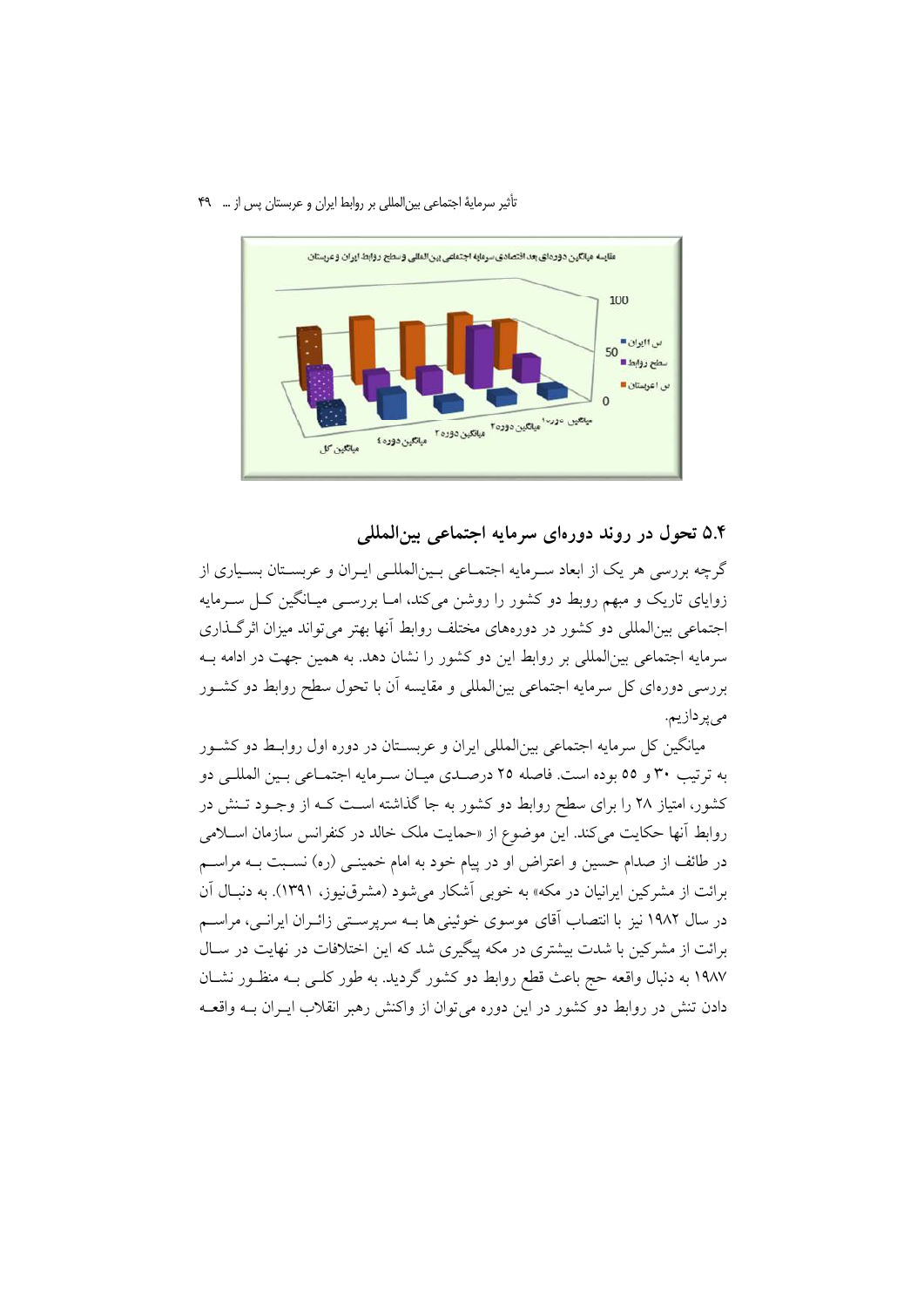#### تأثیر سرمایهٔ اجتماعی بین|لمللی بر روابط ایران و عربستان پس از … ۴۹



### ۵.۴ تحول در روند دورهای سرمایه اجتماعی بینالمللی

گرچه بررسی هر یک از ابعاد سـرمایه اجتمـاعی بـین|لمللـی ایـران و عربسـتان بسـیاری از زوایای تاریک و مبهم روبط دو کشور را روشن میکند، امـا بررسـی میـانگین کـل سـرمایه اجتماعی بین|لمللی دو کشور در دورههای مختلف روابط آنها بهتر می تواند میزان اثر گـذاری سرمايه اجتماعي بين|لمللي بر روابط اين دو كشور را نشان دهد. به همين جهت در ادامه بـه بررسی دورهای کل سرمایه اجتماعی بین|لمللی و مقایسه آن با تحول سطح روابط دو کشـور مىپردازيم.

میانگین کل سرمایه اجتماعی بینالمللی ایران و عربستان در دوره اول روابط دو کشـور به ترتیب ۳۰ و ٥٥ بوده است. فاصله ٢٥ درصـدي ميـان سـرمايه اجتمـاعي بـين المللـي دو کشور، امتیاز ۲۸ را برای سطح روابط دو کشور به جا گذاشته اسـت کـه از وجـود تـنش در روابط آنها حکایت میکند. این موضوع از «حمایت ملک خالد در کنفرانس سازمان اسـلامی در طائف از صدام حسین و اعتراض او در پیام خود به امام خمینــی (ره) نســبت بــه مراســم برائت از مشرکین ایرانیان در مکه» به خوبی آشکار می شود (مشرق نیوز، ۱۳۹۱). به دنبـال آن در سال ۱۹۸۲ نیز با انتصاب آقای موسوی خوئینی ها بــه سرپرســتی زائــران ایرانــی، مراســم برائت از مشرکین با شدت بیشتری در مکه پیگیری شد که این اختلافات در نهایت در سـال ۱۹۸۷ به دنبال واقعه حج باعث قطع روابط دو کشور گردید. به طور کلـی بـه منظـور نشـان دادن تنش در روابط دو کشور در این دوره می توان از واکنش رهبر انقلاب ایــران بــه واقعــه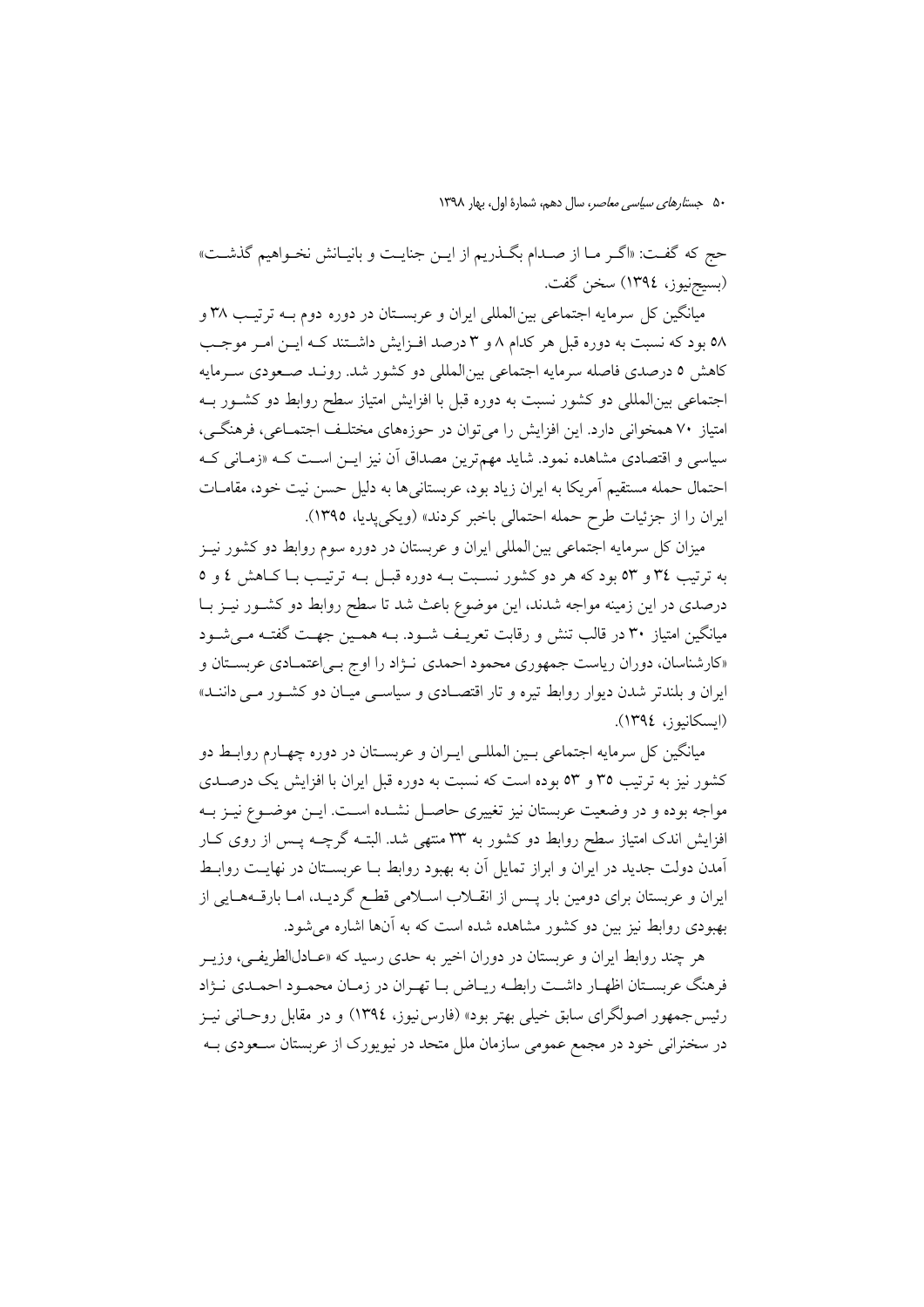حج كه گفت: «اگـر مـا از صـدام بگـذريم از ايـن جنايـت و بانيـانش نخـواهيم گذشـت» (بسيجنيوز، ١٣٩٤) سخن گفت.

میانگین کل سرمایه اجتماعی بین|لمللی ایران و عربسـتان در دوره دوم بــه ترتیـب ۳۸ و ٥٨ بود كه نسبت به دوره قبل هر كدام ٨ و ٣ درصد افـزايش داشـتند كـه ايـن امـر موجـب كاهش ٥ درصدي فاصله سرمايه اجتماعي بين|لمللي دو كشور شد. رونـد صـعودي سـرمايه اجتماعی بین|لمللی دو کشور نسبت به دوره قبل با افزایش امتیاز سطح روابط دو کشـور بـه امتیاز ۷۰ همخوانی دارد. این افزایش را می توان در حوزههای مختلـف اجتمـاعی، فرهنگـی، سیاسی و اقتصادی مشاهده نمود. شاید مهمترین مصداق آن نیز ایــن اسـت کــه «زمــانی کــه احتمال حمله مستقيم آمريكا به ايران زياد بود، عربستاني ها به دليل حسن نيت خود، مقامــات ايران را از جزئيات طرح حمله احتمالي باخبر كردند» (ويكي يديا، ١٣٩٥).

میزان کل سرمایه اجتماعی بین المللی ایران و عربستان در دوره سوم روابط دو کشور نیـز به ترتیب ٣٤ و ٥٣ بود که هر دو کشور نسـبت بــه دوره قبــل بــه ترتیــب بــا کــاهش ٤ و ٥ درصدی در این زمینه مواجه شدند، این موضوع باعث شد تا سطح روابط دو کشـور نیــز بــا میانگین امتیاز ۳۰ در قالب تنش و رقابت تعریـف شـود. بـه همـین جهـت گفتـه مـیشـود «کارشناسان، دوران ریاست جمهوری محمود احمدی نـژاد را اوج بـی|عتمـادی عربسـتان و ایران و بلندتر شدن دیوار روابط تیره و تار اقتصـادی و سیاسـی میـان دو کشـور مـی داننـد» (ايسكانيوز، ١٣٩٤).

میانگین کل سرمایه اجتماعی بـین المللـی ایـران و عربسـتان در دوره چهـارم روابـط دو کشور نیز به ترتیب ۳۵ و ۵۳ بوده است که نسبت به دوره قبل ایران با افزایش یک درصـدی مواجه بوده و در وضعیت عربستان نیز تغییری حاصـل نشــده اســت. ایــن موضــوع نیــز بــه افزایش اندک امتیاز سطح روابط دو کشور به ۳۳ منتهی شد. البتــه گرچــه پــس از روی کــار آمدن دولت جدید در ایران و ابراز تمایل آن به بهبود روابط بـا عربسـتان در نهایـت روابـط ایران و عربستان برای دومین بار پـس از انقــلاب اســلامی قطـع گردیــد، امــا بارقــههــایی از بهبودی روابط نیز بین دو کشور مشاهده شده است که به آنها اشاره می شود.

هر چند روابط ایران و عربستان در دوران اخیر به حدی رسید که «عـادلالطریفـی، وزیــر فرهنگ عربسـتان اظهـار داشـت رابطـه ريـاض بـا تهـران در زمـان محمـود احمـدي نـژاد رئیس جمهور اصولگرای سابق خیلی بهتر بود» (فارس نیوز، ۱۳۹٤) و در مقابل روحـانی نیـز در سخنرانی خود در مجمع عمومی سازمان ملل متحد در نیویورک از عربستان سـعودی بـه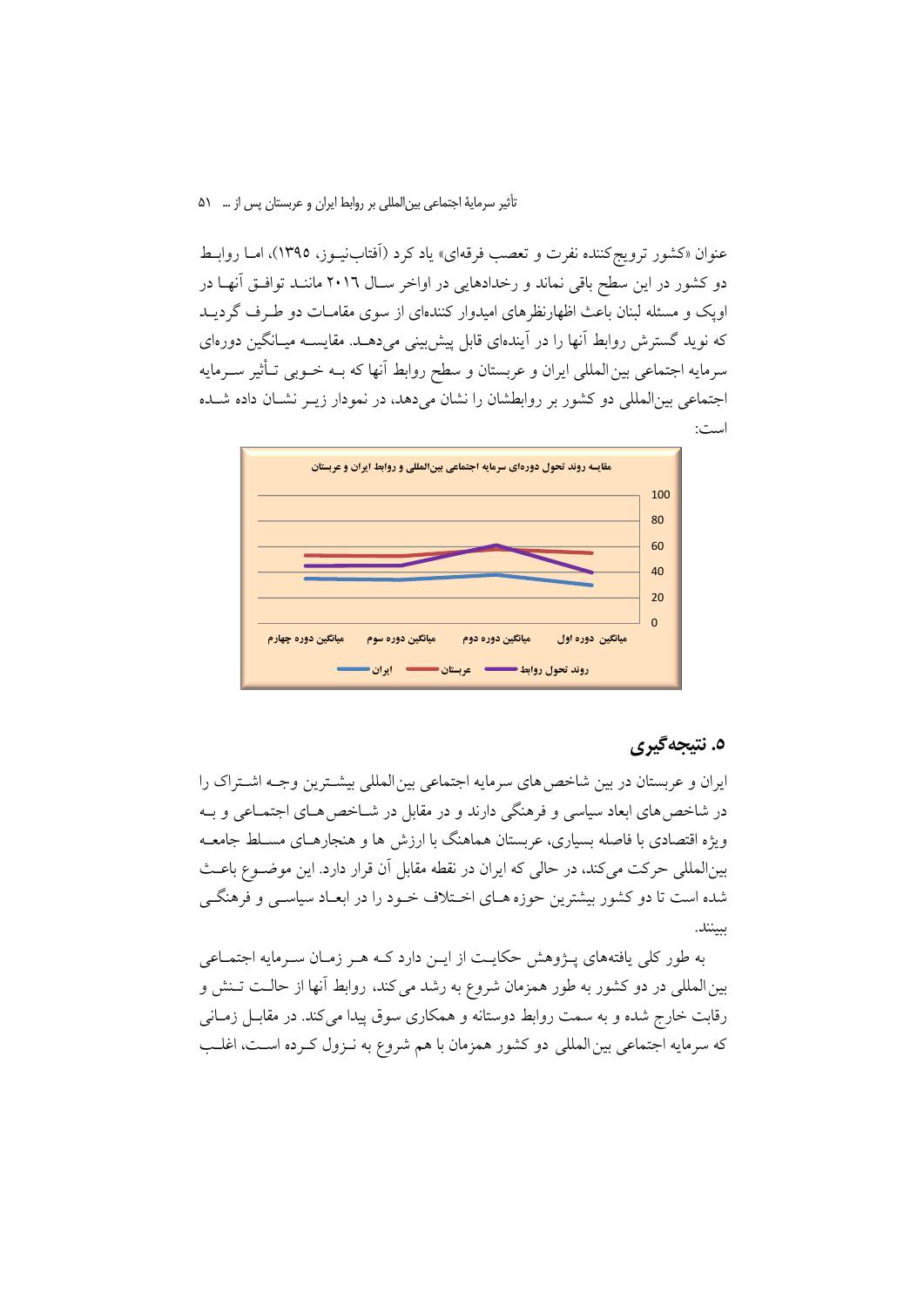تأثیر سرمایهٔ اجتماعی بین|لمللی بر روابط ایران و عربستان پس از … ۵۱

عنوان «کشور ترویجکننده نفرت و تعصب فرقهای» یاد کرد (اَفتابنیـوز، ۱۳۹۵)، امــا روابــط دو کشور در این سطح باقی نماند و رخدادهایی در اواخر سـال ۲۰۱٦ ماننـد توافــق آنهــا در اویک و مسئله لبنان باعث اظهارنظرهای امیدوار کنندهای از سوی مقامـات دو طـرف گردیــد که نوید گسترش روابط آنها را در آیندهای قابل پیش بینی می دهــد. مقایســه میــانگین دورهای سرمايه اجتماعي بين المللي ايران و عربستان و سطح روابط آنها كه بــه خــوبي تــأثير ســرمايه اجتماعی بینالمللی دو کشور بر روابطشان را نشان می دهد، در نمودار زیـر نشـان داده شـده است:



# ٥. نتيجه گيري

ایران و عربستان در بین شاخص های سرمایه اجتماعی بین المللی بیشـترین وجـه اشـتراک را در شاخص های ابعاد سیاسی و فرهنگی دارند و در مقابل در شــاخص هــای اجتمــاعی و بــه ویژه اقتصادی با فاصله بسیاری، عربستان هماهنگ با ارزش ها و هنجارهـای مسـلط جامعـه بینالمللی حرکت میکند، در حالی که ایران در نقطه مقابل آن قرار دارد. این موضــوع باعــث شده است تا دو کشور بیشترین حوزه هـای اخـتلاف خـود را در ابعـاد سیاسـی و فرهنگـی بينند.

به طور کلی یافتههای پـژوهش حکایـت از ایـن دارد کـه هـر زمـان سـرمایه اجتمـاعی بین المللی در دو کشور به طور همزمان شروع به رشد می کند، روابط آنها از حالت تـنش و رقابت خارج شده و به سمت روابط دوستانه و همکاری سوق پیدا می کند. در مقابـل زمــانی که سرمایه اجتماعی بین المللی دو کشور همزمان با هم شروع به نـزول کـرده اسـت، اغلـب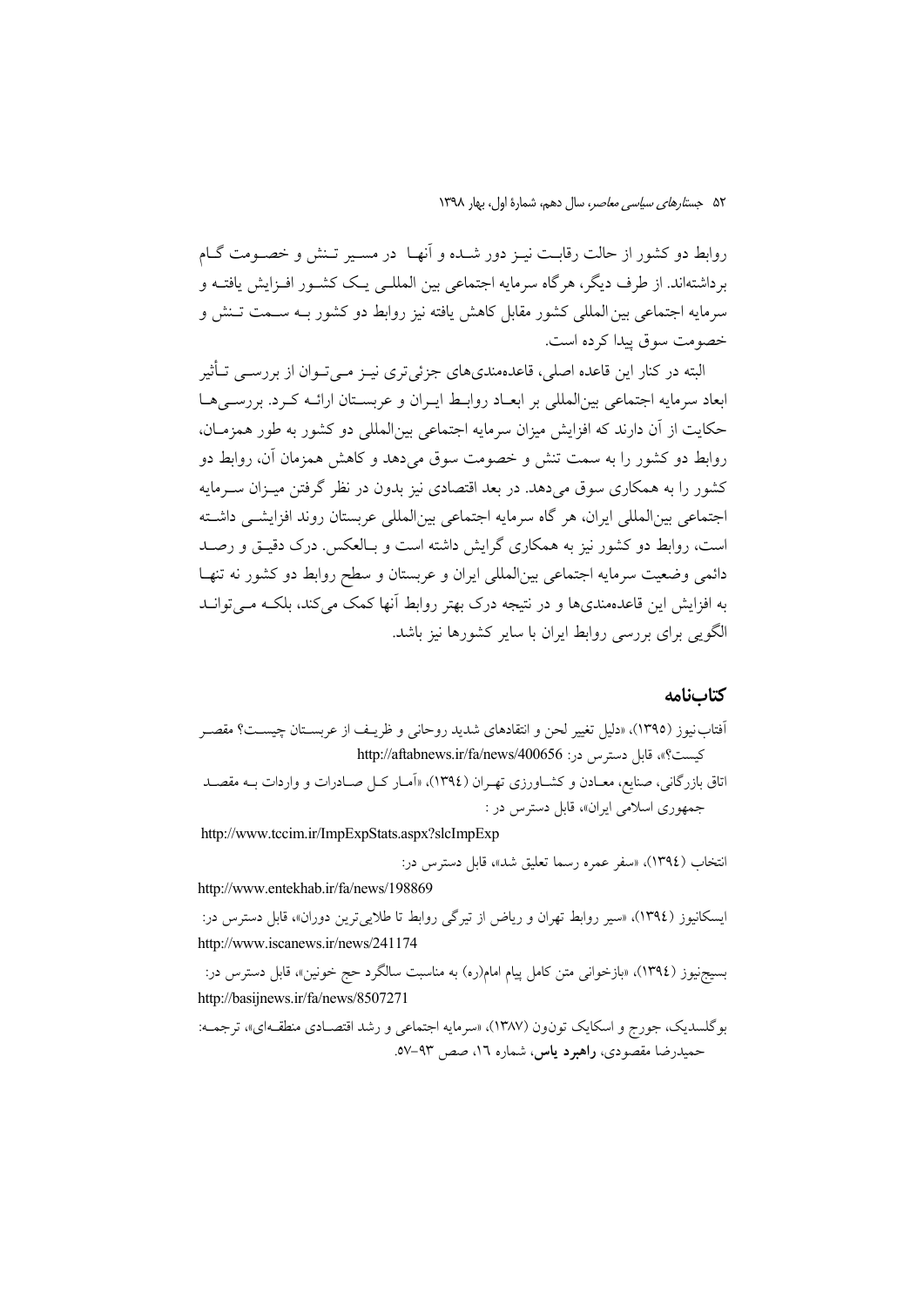روابط دو کشور از حالت رقابت نیـز دور شــده و اَنهـا ۖ در مســیر تــنش و خصــومت گــام برداشتهاند. از طرف دیگر، هرگاه سرمایه اجتماعی بین المللــی یــک کشــور افــزایش یافتــه و سرمايه اجتماعي بين المللي كشور مقابل كاهش يافته نيز روابط دو كشور بــه ســمت تــنش و خصومت سوق پيدا كرده است.

البته در کنار این قاعده اصلی، قاعدهمندیهای جزئیتری نیـز مـیتـوان از بررســی تــأثیر ابعاد سرمايه اجتماعي بين|لمللي بر ابعــاد روابــط ايــران و عربســتان ارائــه كــرد. بررســي هــا حكايت از آن دارند كه افزايش ميزان سرمايه اجتماعي بين|لمللي دو كشور به طور همزمـان، روابط دو کشور را به سمت تنش و خصومت سوق میدهد و کاهش همزمان آن، روابط دو کشور را به همکاری سوق میدهد. در بعد اقتصادی نیز بدون در نظر گرفتن میـزان سـرمایه اجتماعي بين|لمللي ايران، هر گاه سرمايه اجتماعي بين|لمللي عربستان روند افزايشـي داشـته است، روابط دو کشور نیز به همکاری گرایش داشته است و بـالعکس. درک دقیـق و رصـد دائمی وضعیت سرمایه اجتماعی بینالمللی ایران و عربستان و سطح روابط دو کشور نه تنهـا به افزایش این قاعدهمندیها و در نتیجه درک بهتر روابط آنها کمک می کند، بلکـه مــی توانــد الگویی برای بررسی روابط ایران با سایر کشورها نیز باشد.

#### كتابنامه

- آفتاب نيوز (١٣٩٥)، «دليل تغيير لحن و انتقادهاي شديد روحاني و ظريـف از عربســتان چيســت؟ مقصــر كيست؟»، قابل دسترس در: http://aftabnews.ir/fa/news/400656
- اتاق بازرگانی، صنایع، معـادن و کشــاورزی تهـران (١٣٩٤)، «اَمـار کــل صــادرات و واردات بــه مقصــد جمهوري اسلامي ايران»، قابل دسترس در :

http://www.tccim.ir/ImpExpStats.aspx?slcImpExp

انتخاب (١٣٩٤)، «سفر عمره رسما تعليق شد»، قابل دسترس در:

http://www.entekhab.ir/fa/news/198869

ایسکانیوز (١٣٩٤)، «سیر روابط تهران و ریاض از تیرگی روابط تا طلایی ترین دوران»، قابل دسترس در: http://www.iscanews.ir/news/241174

بسيجنيوز (١٣٩٤)، «بازخواني متن كامل پيام امام(ره) به مناسبت سالگرد حج خونين»، قابل دسترس در: http://basiinews.ir/fa/news/8507271

بوگلسدیک، جورج و اسکایک تونون (۱۳۸۷)، «سرمایه اجتماعی و رشد اقتصـادی منطقـهای»، ترجمـه: حميدرضا مقصودي، راهبرد ياس، شماره ١٦، صص ٩٣-٥٧.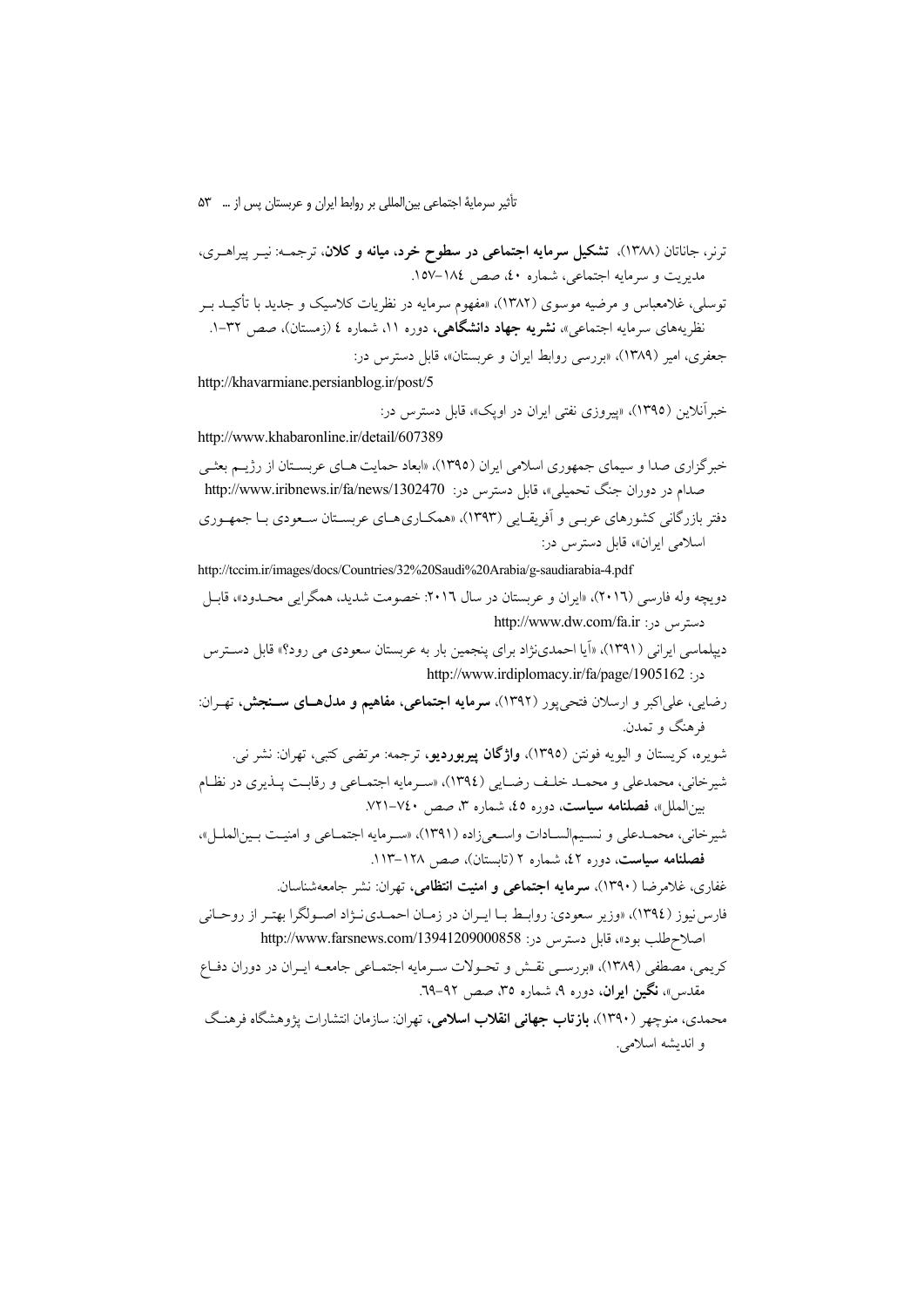تأثیر سرمایهٔ اجتماعی بین المللی بر روابط ایران و عربستان پس از … ۵۳

ترنر، جاناتان (۱۳۸۸). تشکیل سرمایه اجتماعی در سطوح خرد، میانه و کلان. ترجمــه: نیــر ییراهــری، مدیریت و سرمایه اجتماعی، شماره ٤٠، صص ١٨٤–١٥٧. توسلی، غلامعباس و مرضیه موسوی (۱۳۸۲)، «مفهوم سرمایه در نظریات کلاسیک و جدید با تأکیــد بــر نظریههای سرمایه اجتماعی»، **نشریه جهاد دانشگاهی**، دوره ۱۱، شماره ٤ (زمستان)، صص ۳۲-۱. جعفري، امير (١٣٨٩)، «بررسي روابط ايران و عربستان»، قابل دسترس در:

http://khavarmiane.persianblog.ir/post/5

خه آنلامن (١٣٩٥)، «پيروزي نفتي ايران در اويک»، قابل دسترس در: http://www.khabaronline.ir/detail/607389

خبرگزاری صدا و سیمای جمهوری اسلامی ایران (۱۳۹۵)، «ابعاد حمایت هـای عربسـتان از رژیـم بعثـی صدام در دوران جنگ تحمیلی»، قابل دسترس در: http://www.iribnews.ir/fa/news/1302470 دفتر بازرگانی کشورهای عربـی و آفریقـایی (۱۳۹۳)، «همکـاریهـای عربسـتان سـعودی بـا جمهـوری اسلامی ایران»، قابل دسترس در:

http://tccim.ir/images/docs/Countries/32%20Saudi%20Arabia/g-saudiarabia-4.pdf دویچه وله فارسی (٢٠١٦)، «ایران و عربستان در سال ٢٠١٦: خصومت شدید، همگرایی محـدود»، قاسل دسترس در: http://www.dw.com/fa.ir

- دیپلماسی ایرانی (۱۳۹۱)، «اَیا احمدینژاد برای پنجمین بار به عربستان سعودی می رود؟» قابل دسترس در: http://www.irdiplomacy.ir/fa/page/1905162
- رضایی، علیاکبر و ارسلان فتحیپور (۱۳۹۲)، **سرمایه اجتماعی، مفاهیم و مدل هـای ســنجش،** تهـران: فرهنگ و تمدن.
- شويره، كريستان و اليويه فونتن (١٣٩٥)، **واژگان پيربورديو**، ترجمه: مرتضى كتبي، تهران: نشر ني. شيرخاني، محمدعلي و محمـد خلـف رضـايي (١٣٩٤)، «سـرمايه اجتمـاعي و رقابـت پـذيري در نظـام بینالعلل»، فصلنامه سیاست، دوره ٤٥، شماره ۳، صص ٧٤٠–٧٢١.
- شيرخاني، محمـدعلي و نسـيمالسـادات واسـعيزاده (١٣٩١)، «سـرمايه اجتمـاعي و امنيـت بـينالملـل»، فصلنامه سیاست، دوره ٤٢، شماره ٢ (تاستان)، صص ١٢٨-١١٣.

غفاری، غلامرضا (۱۳۹۰)، **سرمایه اجتماعی و امنیت انتظامی**، تهران: نشر جامعهشناسان. فارس نيوز (١٣٩٤)، «وزير سعودي: روابط بـا ايـران در زمـان احمـدي نـژاد اصـولگرا بهتـر از روحـاني اصلاح طلب بود»، قابل دسترس در: http://www.farsnews.com/13941209000858

- كريمي، مصطفى (١٣٨٩)، «بررسـي نقـش و تحـولات سـرمايه اجتمـاعي جامعـه ايـران در دوران دفـاع مقدس»، نگین ایران، دوره ۹، شماره ۳۵، صص ۹۲-۲۹.
- محمدی، منوچهر (۱۳۹۰)، ب**ازتاب جهانی انقلاب اسلامی**، تهران: سازمان انتشارات پژوهشگاه فرهنگ و انديشه اسلامي.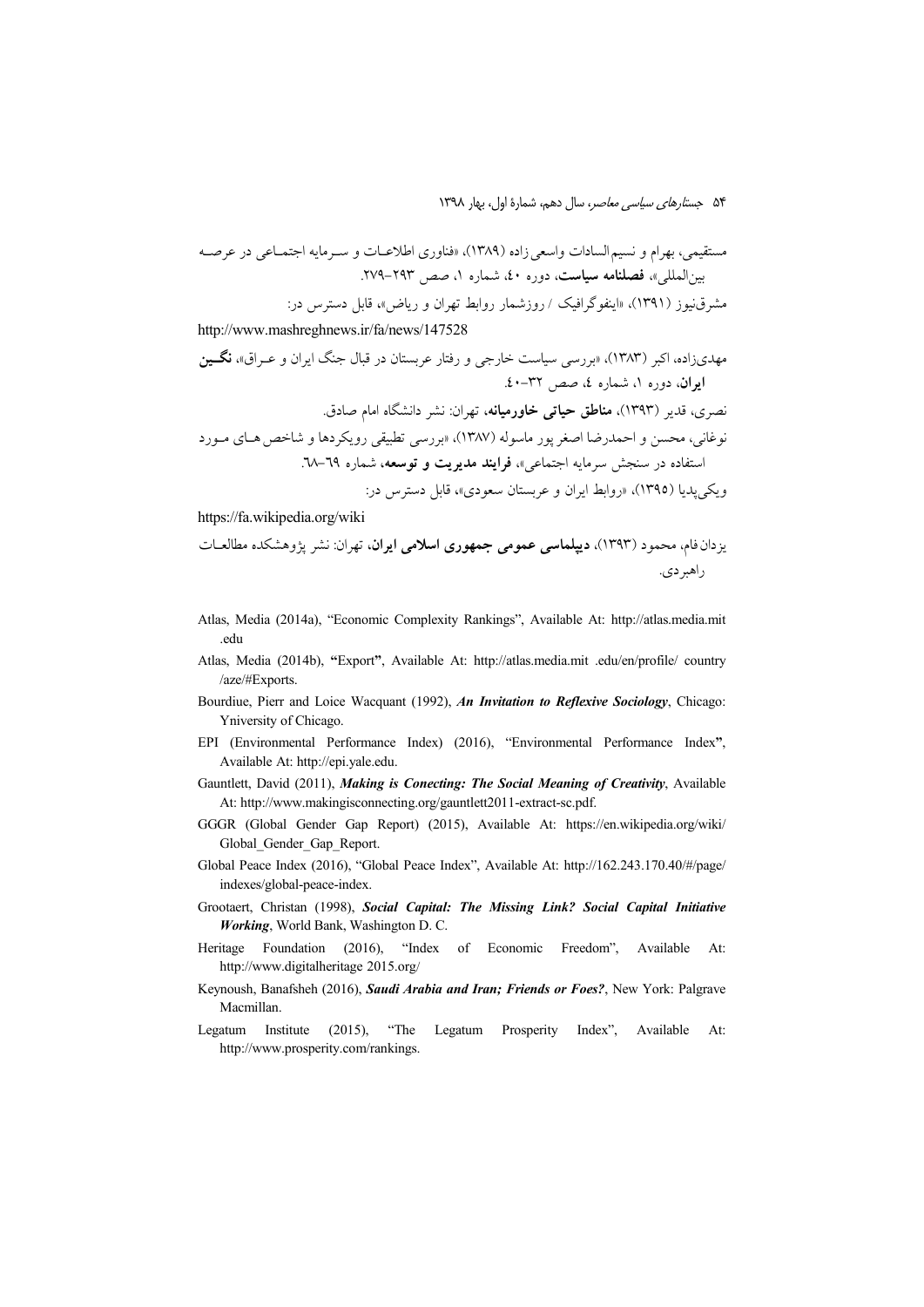http://www.mashreghnews.ir/fa/news/147528

https://fa.wikipedia.org/wiki

- Atlas, Media (2014a), "Economic Complexity Rankings", Available At: http://atlas.media.mit .edu
- Atlas, Media (2014b), "Export", Available At: http://atlas.media.mit .edu/en/profile/ country /aze/#Exports.
- Bourdiue, Pierr and Loice Wacquant (1992), An Invitation to Reflexive Sociology, Chicago: Yniversity of Chicago.
- EPI (Environmental Performance Index) (2016), "Environmental Performance Index", Available At: http://epi.yale.edu.
- Gauntlett, David (2011), Making is Conecting: The Social Meaning of Creativity, Available At: http://www.makingisconnecting.org/gauntlett2011-extract-sc.pdf.
- GGGR (Global Gender Gap Report) (2015), Available At: https://en.wikipedia.org/wiki/ Global Gender Gap Report.
- Global Peace Index (2016), "Global Peace Index", Available At: http://162.243.170.40/#/page/ indexes/global-peace-index.
- Grootaert, Christan (1998), Social Capital: The Missing Link? Social Capital Initiative Working, World Bank, Washington D. C.
- Heritage Foundation (2016), "Index of Economic Freedom", Available At: http://www.digitalheritage 2015.org/
- Keynoush, Banafsheh (2016), Saudi Arabia and Iran; Friends or Foes?, New York: Palgrave Macmillan.
- Legatum Institute (2015), "The Legatum Prosperity Index", Available At: http://www.prosperity.com/rankings.